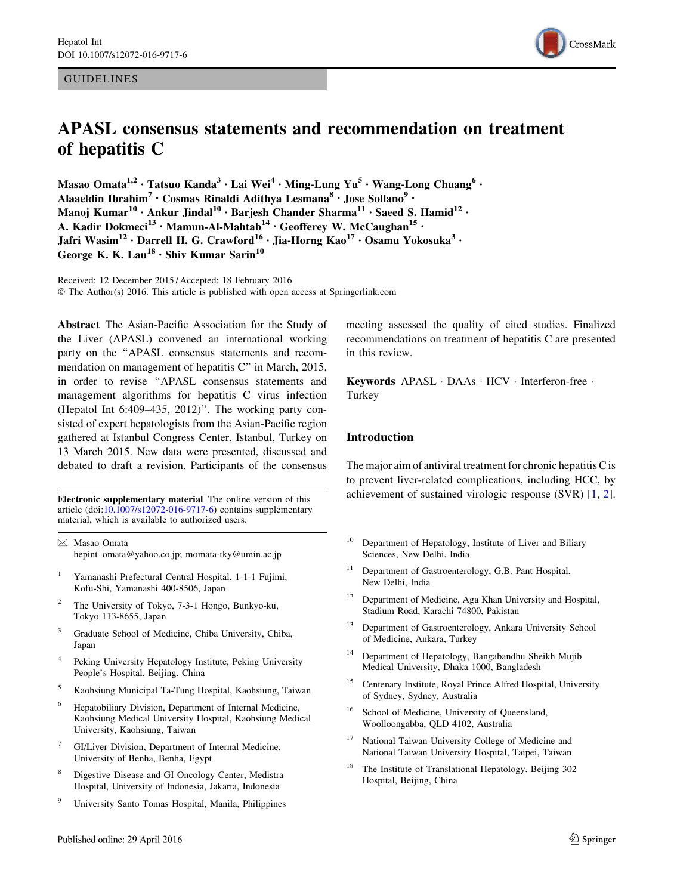#### GUIDELINES



# APASL consensus statements and recommendation on treatment of hepatitis C

Masao Omata<sup>1,2</sup> • Tatsuo Kanda<sup>3</sup> • Lai Wei<sup>4</sup> • Ming-Lung Yu<sup>5</sup> • Wang-Long Chuang<sup>6</sup> • Alaaeldin Ibrahim<sup>7</sup> · Cosmas Rinaldi Adithya Lesmana<sup>8</sup> · Jose Sollano<sup>9</sup> · Manoj Kumar<sup>10</sup> • Ankur Jindal<sup>10</sup> • Barjesh Chander Sharma<sup>11</sup> • Saeed S. Hamid<sup>12</sup> • A. Kadir Dokmeci<sup>13</sup> • Mamun-Al-Mahtab<sup>14</sup> • Geofferey W. McCaughan<sup>15</sup> • Jafri Wasim $^{12}$  • Darrell H. G. Crawford $^{16}$  • Jia-Horng Kao $^{17}$  • Osamu Yokosuka $^3$  • George K. K. Lau<sup>18</sup> · Shiv Kumar Sarin<sup>10</sup>

Received: 12 December 2015 / Accepted: 18 February 2016 © The Author(s) 2016. This article is published with open access at Springerlink.com

Abstract The Asian-Pacific Association for the Study of the Liver (APASL) convened an international working party on the ''APASL consensus statements and recommendation on management of hepatitis C'' in March, 2015, in order to revise ''APASL consensus statements and management algorithms for hepatitis C virus infection (Hepatol Int 6:409–435, 2012)''. The working party consisted of expert hepatologists from the Asian-Pacific region gathered at Istanbul Congress Center, Istanbul, Turkey on 13 March 2015. New data were presented, discussed and debated to draft a revision. Participants of the consensus

article (doi:[10.1007/s12072-016-9717-6\)](http://dx.doi.org/10.1007/s12072-016-9717-6) contains supplementary material, which is available to authorized users.

& Masao Omata hepint\_omata@yahoo.co.jp; momata-tky@umin.ac.jp

- <sup>1</sup> Yamanashi Prefectural Central Hospital, 1-1-1 Fujimi, Kofu-Shi, Yamanashi 400-8506, Japan
- <sup>2</sup> The University of Tokyo, 7-3-1 Hongo, Bunkyo-ku, Tokyo 113-8655, Japan
- Graduate School of Medicine, Chiba University, Chiba, Japan
- <sup>4</sup> Peking University Hepatology Institute, Peking University People's Hospital, Beijing, China
- <sup>5</sup> Kaohsiung Municipal Ta-Tung Hospital, Kaohsiung, Taiwan
- <sup>6</sup> Hepatobiliary Division, Department of Internal Medicine, Kaohsiung Medical University Hospital, Kaohsiung Medical University, Kaohsiung, Taiwan
- GI/Liver Division, Department of Internal Medicine, University of Benha, Benha, Egypt
- <sup>8</sup> Digestive Disease and GI Oncology Center, Medistra Hospital, University of Indonesia, Jakarta, Indonesia
- <sup>9</sup> University Santo Tomas Hospital, Manila, Philippines

meeting assessed the quality of cited studies. Finalized recommendations on treatment of hepatitis C are presented in this review.

Keywords APASL - DAAs - HCV - Interferon-free - Turkey

### Introduction

The major aim of antiviral treatment for chronic hepatitis C is to prevent liver-related complications, including HCC, by **Electronic supplementary material** The online version of this achievement of sustained virologic response (SVR) [[1,](#page-19-0) [2](#page-19-0)].

- <sup>10</sup> Department of Hepatology, Institute of Liver and Biliary Sciences, New Delhi, India
- <sup>11</sup> Department of Gastroenterology, G.B. Pant Hospital, New Delhi, India
- <sup>12</sup> Department of Medicine, Aga Khan University and Hospital, Stadium Road, Karachi 74800, Pakistan
- <sup>13</sup> Department of Gastroenterology, Ankara University School of Medicine, Ankara, Turkey
- Department of Hepatology, Bangabandhu Sheikh Mujib Medical University, Dhaka 1000, Bangladesh
- <sup>15</sup> Centenary Institute, Royal Prince Alfred Hospital, University of Sydney, Sydney, Australia
- <sup>16</sup> School of Medicine, University of Queensland, Woolloongabba, QLD 4102, Australia
- <sup>17</sup> National Taiwan University College of Medicine and National Taiwan University Hospital, Taipei, Taiwan
- <sup>18</sup> The Institute of Translational Hepatology, Beijing 302 Hospital, Beijing, China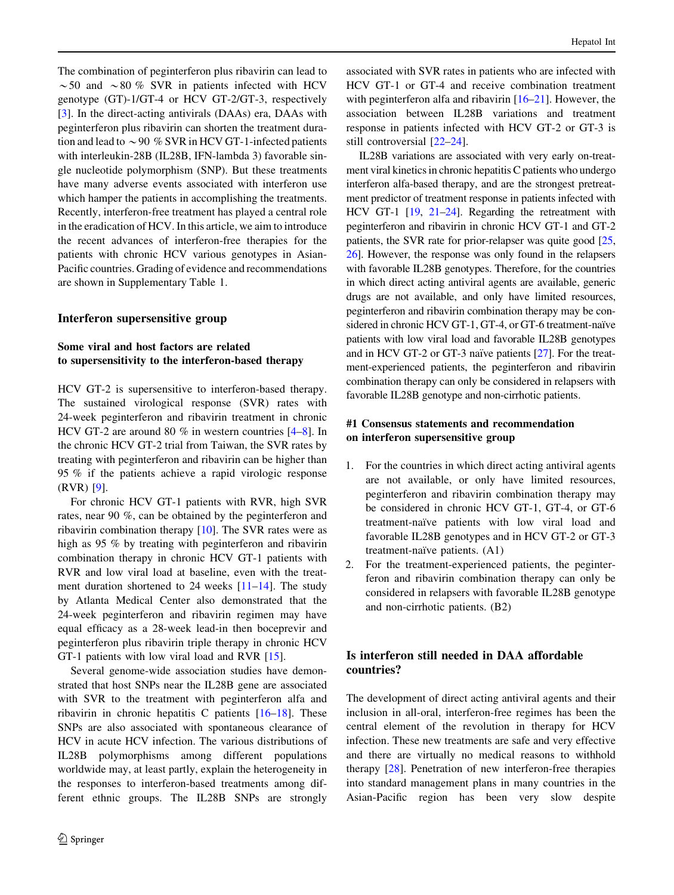The combination of peginterferon plus ribavirin can lead to  $\sim$  50 and  $\sim$  80 % SVR in patients infected with HCV genotype (GT)-1/GT-4 or HCV GT-2/GT-3, respectively [\[3](#page-19-0)]. In the direct-acting antivirals (DAAs) era, DAAs with peginterferon plus ribavirin can shorten the treatment duration and lead to  $\sim$  90 % SVR in HCV GT-1-infected patients with interleukin-28B (IL28B, IFN-lambda 3) favorable single nucleotide polymorphism (SNP). But these treatments have many adverse events associated with interferon use which hamper the patients in accomplishing the treatments. Recently, interferon-free treatment has played a central role in the eradication of HCV. In this article, we aim to introduce the recent advances of interferon-free therapies for the patients with chronic HCV various genotypes in Asian-Pacific countries. Grading of evidence and recommendations are shown in Supplementary Table 1.

### Interferon supersensitive group

### Some viral and host factors are related to supersensitivity to the interferon-based therapy

HCV GT-2 is supersensitive to interferon-based therapy. The sustained virological response (SVR) rates with 24-week peginterferon and ribavirin treatment in chronic HCV GT-2 are around 80 % in western countries [\[4–8](#page-19-0)]. In the chronic HCV GT-2 trial from Taiwan, the SVR rates by treating with peginterferon and ribavirin can be higher than 95 % if the patients achieve a rapid virologic response (RVR) [[9\]](#page-19-0).

For chronic HCV GT-1 patients with RVR, high SVR rates, near 90 %, can be obtained by the peginterferon and ribavirin combination therapy [[10\]](#page-19-0). The SVR rates were as high as 95 % by treating with peginterferon and ribavirin combination therapy in chronic HCV GT-1 patients with RVR and low viral load at baseline, even with the treatment duration shortened to 24 weeks [\[11–14\]](#page-19-0). The study by Atlanta Medical Center also demonstrated that the 24-week peginterferon and ribavirin regimen may have equal efficacy as a 28-week lead-in then boceprevir and peginterferon plus ribavirin triple therapy in chronic HCV GT-1 patients with low viral load and RVR [\[15](#page-19-0)].

Several genome-wide association studies have demonstrated that host SNPs near the IL28B gene are associated with SVR to the treatment with peginterferon alfa and ribavirin in chronic hepatitis C patients  $[16-18]$ . These SNPs are also associated with spontaneous clearance of HCV in acute HCV infection. The various distributions of IL28B polymorphisms among different populations worldwide may, at least partly, explain the heterogeneity in the responses to interferon-based treatments among different ethnic groups. The IL28B SNPs are strongly

associated with SVR rates in patients who are infected with HCV GT-1 or GT-4 and receive combination treatment with peginterferon alfa and ribavirin [\[16](#page-19-0)[–21](#page-20-0)]. However, the association between IL28B variations and treatment response in patients infected with HCV GT-2 or GT-3 is still controversial [\[22–24](#page-20-0)].

IL28B variations are associated with very early on-treatment viral kinetics in chronic hepatitis C patients who undergo interferon alfa-based therapy, and are the strongest pretreatment predictor of treatment response in patients infected with HCV GT-1 [[19](#page-20-0), [21–24](#page-20-0)]. Regarding the retreatment with peginterferon and ribavirin in chronic HCV GT-1 and GT-2 patients, the SVR rate for prior-relapser was quite good [\[25,](#page-20-0) [26\]](#page-20-0). However, the response was only found in the relapsers with favorable IL28B genotypes. Therefore, for the countries in which direct acting antiviral agents are available, generic drugs are not available, and only have limited resources, peginterferon and ribavirin combination therapy may be considered in chronic HCV GT-1, GT-4, or GT-6 treatment-naïve patients with low viral load and favorable IL28B genotypes and in HCV GT-2 or GT-3 naïve patients  $[27]$ . For the treatment-experienced patients, the peginterferon and ribavirin combination therapy can only be considered in relapsers with favorable IL28B genotype and non-cirrhotic patients.

### #1 Consensus statements and recommendation on interferon supersensitive group

- 1. For the countries in which direct acting antiviral agents are not available, or only have limited resources, peginterferon and ribavirin combination therapy may be considered in chronic HCV GT-1, GT-4, or GT-6 treatment-naïve patients with low viral load and favorable IL28B genotypes and in HCV GT-2 or GT-3 treatment-naïve patients.  $(A1)$
- 2. For the treatment-experienced patients, the peginterferon and ribavirin combination therapy can only be considered in relapsers with favorable IL28B genotype and non-cirrhotic patients. (B2)

### Is interferon still needed in DAA affordable countries?

The development of direct acting antiviral agents and their inclusion in all-oral, interferon-free regimes has been the central element of the revolution in therapy for HCV infection. These new treatments are safe and very effective and there are virtually no medical reasons to withhold therapy [\[28](#page-20-0)]. Penetration of new interferon-free therapies into standard management plans in many countries in the Asian-Pacific region has been very slow despite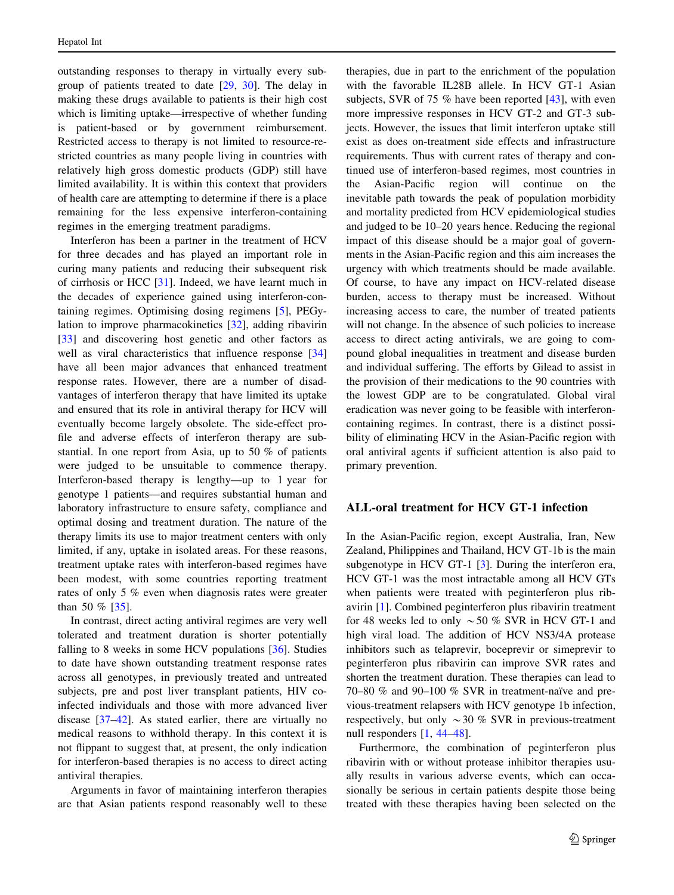outstanding responses to therapy in virtually every subgroup of patients treated to date  $[29, 30]$  $[29, 30]$  $[29, 30]$  $[29, 30]$ . The delay in making these drugs available to patients is their high cost which is limiting uptake—irrespective of whether funding is patient-based or by government reimbursement. Restricted access to therapy is not limited to resource-restricted countries as many people living in countries with relatively high gross domestic products (GDP) still have limited availability. It is within this context that providers of health care are attempting to determine if there is a place remaining for the less expensive interferon-containing regimes in the emerging treatment paradigms.

Interferon has been a partner in the treatment of HCV for three decades and has played an important role in curing many patients and reducing their subsequent risk of cirrhosis or HCC [[31\]](#page-20-0). Indeed, we have learnt much in the decades of experience gained using interferon-containing regimes. Optimising dosing regimens [[5\]](#page-19-0), PEGylation to improve pharmacokinetics [\[32](#page-20-0)], adding ribavirin [\[33](#page-20-0)] and discovering host genetic and other factors as well as viral characteristics that influence response [[34\]](#page-20-0) have all been major advances that enhanced treatment response rates. However, there are a number of disadvantages of interferon therapy that have limited its uptake and ensured that its role in antiviral therapy for HCV will eventually become largely obsolete. The side-effect profile and adverse effects of interferon therapy are substantial. In one report from Asia, up to 50 % of patients were judged to be unsuitable to commence therapy. Interferon-based therapy is lengthy—up to 1 year for genotype 1 patients—and requires substantial human and laboratory infrastructure to ensure safety, compliance and optimal dosing and treatment duration. The nature of the therapy limits its use to major treatment centers with only limited, if any, uptake in isolated areas. For these reasons, treatment uptake rates with interferon-based regimes have been modest, with some countries reporting treatment rates of only 5 % even when diagnosis rates were greater than 50 % [\[35](#page-20-0)].

In contrast, direct acting antiviral regimes are very well tolerated and treatment duration is shorter potentially falling to 8 weeks in some HCV populations  $[36]$  $[36]$ . Studies to date have shown outstanding treatment response rates across all genotypes, in previously treated and untreated subjects, pre and post liver transplant patients, HIV coinfected individuals and those with more advanced liver disease [[37–42\]](#page-20-0). As stated earlier, there are virtually no medical reasons to withhold therapy. In this context it is not flippant to suggest that, at present, the only indication for interferon-based therapies is no access to direct acting antiviral therapies.

Arguments in favor of maintaining interferon therapies are that Asian patients respond reasonably well to these

therapies, due in part to the enrichment of the population with the favorable IL28B allele. In HCV GT-1 Asian subjects, SVR of 75 % have been reported [[43\]](#page-20-0), with even more impressive responses in HCV GT-2 and GT-3 subjects. However, the issues that limit interferon uptake still exist as does on-treatment side effects and infrastructure requirements. Thus with current rates of therapy and continued use of interferon-based regimes, most countries in the Asian-Pacific region will continue on the inevitable path towards the peak of population morbidity and mortality predicted from HCV epidemiological studies and judged to be 10–20 years hence. Reducing the regional impact of this disease should be a major goal of governments in the Asian-Pacific region and this aim increases the urgency with which treatments should be made available. Of course, to have any impact on HCV-related disease burden, access to therapy must be increased. Without increasing access to care, the number of treated patients will not change. In the absence of such policies to increase access to direct acting antivirals, we are going to compound global inequalities in treatment and disease burden and individual suffering. The efforts by Gilead to assist in the provision of their medications to the 90 countries with the lowest GDP are to be congratulated. Global viral eradication was never going to be feasible with interferoncontaining regimes. In contrast, there is a distinct possibility of eliminating HCV in the Asian-Pacific region with oral antiviral agents if sufficient attention is also paid to primary prevention.

### ALL-oral treatment for HCV GT-1 infection

In the Asian-Pacific region, except Australia, Iran, New Zealand, Philippines and Thailand, HCV GT-1b is the main subgenotype in HCV GT-1 [[3\]](#page-19-0). During the interferon era, HCV GT-1 was the most intractable among all HCV GTs when patients were treated with peginterferon plus ribavirin [[1](#page-19-0)]. Combined peginterferon plus ribavirin treatment for 48 weeks led to only  $\sim$  50 % SVR in HCV GT-1 and high viral load. The addition of HCV NS3/4A protease inhibitors such as telaprevir, boceprevir or simeprevir to peginterferon plus ribavirin can improve SVR rates and shorten the treatment duration. These therapies can lead to 70–80 % and 90–100 % SVR in treatment-naïve and previous-treatment relapsers with HCV genotype 1b infection, respectively, but only  $\sim$  30 % SVR in previous-treatment null responders [[1,](#page-19-0) [44–48\]](#page-20-0).

Furthermore, the combination of peginterferon plus ribavirin with or without protease inhibitor therapies usually results in various adverse events, which can occasionally be serious in certain patients despite those being treated with these therapies having been selected on the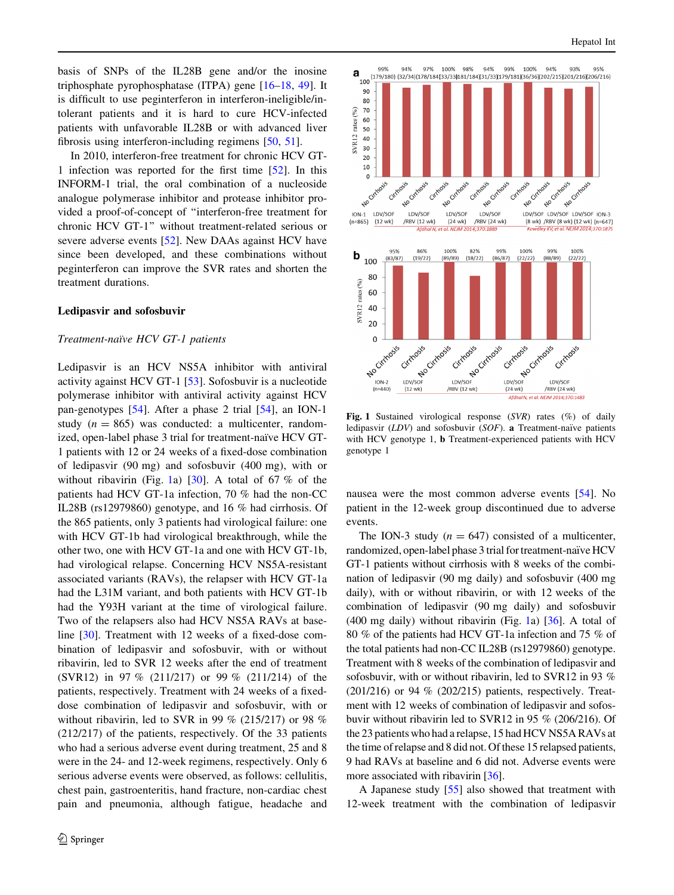<span id="page-3-0"></span>basis of SNPs of the IL28B gene and/or the inosine triphosphate pyrophosphatase (ITPA) gene [[16–18,](#page-19-0) [49\]](#page-21-0). It is difficult to use peginterferon in interferon-ineligible/intolerant patients and it is hard to cure HCV-infected patients with unfavorable IL28B or with advanced liver fibrosis using interferon-including regimens [[50,](#page-21-0) [51\]](#page-21-0).

In 2010, interferon-free treatment for chronic HCV GT-1 infection was reported for the first time [[52\]](#page-21-0). In this INFORM-1 trial, the oral combination of a nucleoside analogue polymerase inhibitor and protease inhibitor provided a proof-of-concept of ''interferon-free treatment for chronic HCV GT-1'' without treatment-related serious or severe adverse events [\[52](#page-21-0)]. New DAAs against HCV have since been developed, and these combinations without peginterferon can improve the SVR rates and shorten the treatment durations.

### Ledipasvir and sofosbuvir

#### Treatment-naïve HCV GT-1 patients

Ledipasvir is an HCV NS5A inhibitor with antiviral activity against HCV GT-1 [\[53](#page-21-0)]. Sofosbuvir is a nucleotide polymerase inhibitor with antiviral activity against HCV pan-genotypes [[54\]](#page-21-0). After a phase 2 trial [[54\]](#page-21-0), an ION-1 study ( $n = 865$ ) was conducted: a multicenter, randomized, open-label phase 3 trial for treatment-naïve HCV GT-1 patients with 12 or 24 weeks of a fixed-dose combination of ledipasvir (90 mg) and sofosbuvir (400 mg), with or without ribavirin (Fig. 1a) [\[30\]](#page-20-0). A total of  $67\%$  of the patients had HCV GT-1a infection, 70 % had the non-CC IL28B (rs12979860) genotype, and 16 % had cirrhosis. Of the 865 patients, only 3 patients had virological failure: one with HCV GT-1b had virological breakthrough, while the other two, one with HCV GT-1a and one with HCV GT-1b, had virological relapse. Concerning HCV NS5A-resistant associated variants (RAVs), the relapser with HCV GT-1a had the L31M variant, and both patients with HCV GT-1b had the Y93H variant at the time of virological failure. Two of the relapsers also had HCV NS5A RAVs at baseline [\[30](#page-20-0)]. Treatment with 12 weeks of a fixed-dose combination of ledipasvir and sofosbuvir, with or without ribavirin, led to SVR 12 weeks after the end of treatment (SVR12) in 97 % (211/217) or 99 % (211/214) of the patients, respectively. Treatment with 24 weeks of a fixeddose combination of ledipasvir and sofosbuvir, with or without ribavirin, led to SVR in 99 % (215/217) or 98 % (212/217) of the patients, respectively. Of the 33 patients who had a serious adverse event during treatment, 25 and 8 were in the 24- and 12-week regimens, respectively. Only 6 serious adverse events were observed, as follows: cellulitis, chest pain, gastroenteritis, hand fracture, non-cardiac chest pain and pneumonia, although fatigue, headache and



Fig. 1 Sustained virological response (SVR) rates (%) of daily ledipasvir  $(LDV)$  and sofosbuvir  $(SOF)$ . a Treatment-naïve patients with HCV genotype 1, b Treatment-experienced patients with HCV genotype 1

nausea were the most common adverse events [[54\]](#page-21-0). No patient in the 12-week group discontinued due to adverse events.

The ION-3 study ( $n = 647$ ) consisted of a multicenter, randomized, open-label phase 3 trial for treatment-naïve HCV GT-1 patients without cirrhosis with 8 weeks of the combination of ledipasvir (90 mg daily) and sofosbuvir (400 mg daily), with or without ribavirin, or with 12 weeks of the combination of ledipasvir (90 mg daily) and sofosbuvir (400 mg daily) without ribavirin (Fig. 1a) [\[36\]](#page-20-0). A total of 80 % of the patients had HCV GT-1a infection and 75 % of the total patients had non-CC IL28B (rs12979860) genotype. Treatment with 8 weeks of the combination of ledipasvir and sofosbuvir, with or without ribavirin, led to SVR12 in 93 % (201/216) or 94 % (202/215) patients, respectively. Treatment with 12 weeks of combination of ledipasvir and sofosbuvir without ribavirin led to SVR12 in 95 % (206/216). Of the 23 patients who had a relapse, 15 had HCV NS5A RAVs at the time of relapse and 8 did not. Of these 15 relapsed patients, 9 had RAVs at baseline and 6 did not. Adverse events were more associated with ribavirin [[36\]](#page-20-0).

A Japanese study [[55\]](#page-21-0) also showed that treatment with 12-week treatment with the combination of ledipasvir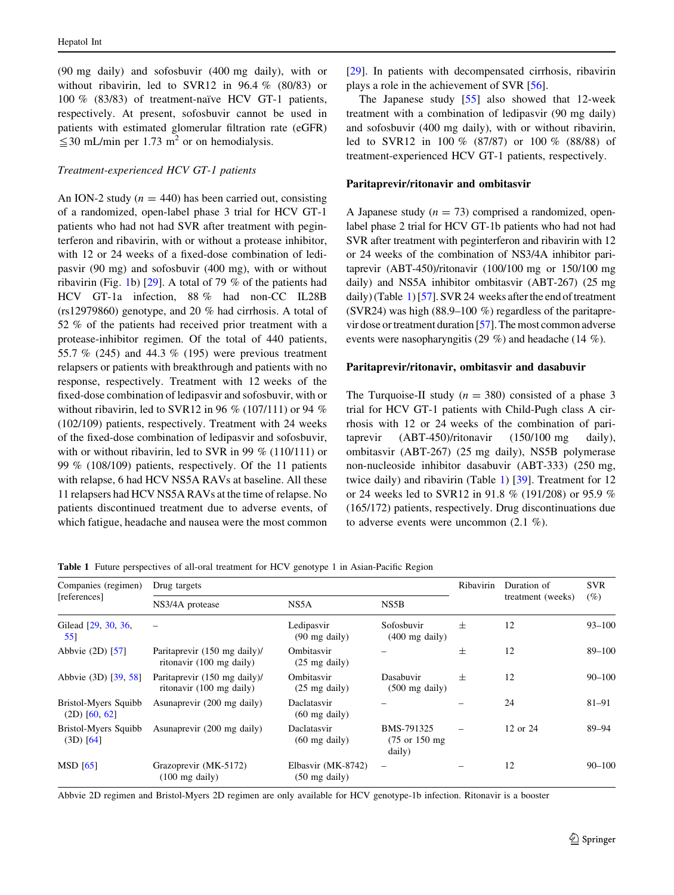<span id="page-4-0"></span>(90 mg daily) and sofosbuvir (400 mg daily), with or without ribavirin, led to SVR12 in 96.4 % (80/83) or  $100\%$  (83/83) of treatment-naïve HCV GT-1 patients, respectively. At present, sofosbuvir cannot be used in patients with estimated glomerular filtration rate (eGFR)  $\leq$  30 mL/min per 1.73 m<sup>2</sup> or on hemodialysis.

#### Treatment-experienced HCV GT-1 patients

An ION-2 study ( $n = 440$ ) has been carried out, consisting of a randomized, open-label phase 3 trial for HCV GT-1 patients who had not had SVR after treatment with peginterferon and ribavirin, with or without a protease inhibitor, with 12 or 24 weeks of a fixed-dose combination of ledipasvir (90 mg) and sofosbuvir (400 mg), with or without ribavirin (Fig. [1b](#page-3-0)) [\[29](#page-20-0)]. A total of 79 % of the patients had HCV GT-1a infection, 88 % had non-CC IL28B (rs12979860) genotype, and 20 % had cirrhosis. A total of 52 % of the patients had received prior treatment with a protease-inhibitor regimen. Of the total of 440 patients, 55.7 % (245) and 44.3 % (195) were previous treatment relapsers or patients with breakthrough and patients with no response, respectively. Treatment with 12 weeks of the fixed-dose combination of ledipasvir and sofosbuvir, with or without ribavirin, led to SVR12 in 96 % (107/111) or 94 % (102/109) patients, respectively. Treatment with 24 weeks of the fixed-dose combination of ledipasvir and sofosbuvir, with or without ribavirin, led to SVR in 99 % (110/111) or 99 % (108/109) patients, respectively. Of the 11 patients with relapse, 6 had HCV NS5A RAVs at baseline. All these 11 relapsers had HCV NS5A RAVs at the time of relapse. No patients discontinued treatment due to adverse events, of which fatigue, headache and nausea were the most common [\[29](#page-20-0)]. In patients with decompensated cirrhosis, ribavirin plays a role in the achievement of SVR [\[56\]](#page-21-0).

The Japanese study [\[55](#page-21-0)] also showed that 12-week treatment with a combination of ledipasvir (90 mg daily) and sofosbuvir (400 mg daily), with or without ribavirin, led to SVR12 in 100 % (87/87) or 100 % (88/88) of treatment-experienced HCV GT-1 patients, respectively.

### Paritaprevir/ritonavir and ombitasvir

A Japanese study ( $n = 73$ ) comprised a randomized, openlabel phase 2 trial for HCV GT-1b patients who had not had SVR after treatment with peginterferon and ribavirin with 12 or 24 weeks of the combination of NS3/4A inhibitor paritaprevir (ABT-450)/ritonavir (100/100 mg or 150/100 mg daily) and NS5A inhibitor ombitasvir (ABT-267) (25 mg daily) (Table 1) [\[57](#page-21-0)]. SVR 24 weeks after the end of treatment (SVR24) was high (88.9–100 %) regardless of the paritaprevir dose ortreatment duration  $[57]$  $[57]$ . The most common adverse events were nasopharyngitis (29 %) and headache (14 %).

### Paritaprevir/ritonavir, ombitasvir and dasabuvir

The Turquoise-II study ( $n = 380$ ) consisted of a phase 3 trial for HCV GT-1 patients with Child-Pugh class A cirrhosis with 12 or 24 weeks of the combination of paritaprevir (ABT-450)/ritonavir (150/100 mg daily), ombitasvir (ABT-267) (25 mg daily), NS5B polymerase non-nucleoside inhibitor dasabuvir (ABT-333) (250 mg, twice daily) and ribavirin (Table 1) [\[39](#page-20-0)]. Treatment for 12 or 24 weeks led to SVR12 in 91.8 % (191/208) or 95.9 % (165/172) patients, respectively. Drug discontinuations due to adverse events were uncommon (2.1 %).

|  | Table 1 Future perspectives of all-oral treatment for HCV genotype 1 in Asian-Pacific Region |  |  |  |  |
|--|----------------------------------------------------------------------------------------------|--|--|--|--|
|  |                                                                                              |  |  |  |  |

| Companies (regimen)                     | Drug targets                                             | Ribavirin                                     | Duration of                                               | <b>SVR</b> |                   |            |  |
|-----------------------------------------|----------------------------------------------------------|-----------------------------------------------|-----------------------------------------------------------|------------|-------------------|------------|--|
| [references]                            | NS3/4A protease                                          | NS5A                                          | NS5B                                                      |            | treatment (weeks) | $(\%)$     |  |
| Gilead [29, 30, 36,<br>55]              |                                                          | Ledipasvir<br>$(90 \text{ mg daily})$         | Sofosbuvir<br>$(400 \text{ mg daily})$                    | 士          | 12                | $93 - 100$ |  |
| Abbyie $(2D)$ [57]                      | Paritaprevir (150 mg daily)/<br>ritonavir (100 mg daily) | Ombitasvir<br>$(25 \text{ mg daily})$         |                                                           | $\pm$      | 12                | $89 - 100$ |  |
| Abbyie (3D) [39, 58]                    | Paritaprevir (150 mg daily)/<br>ritonavir (100 mg daily) | Ombitasvir<br>$(25 \text{ mg daily})$         | Dasabuvir<br>$(500 \text{ mg daily})$                     | $\pm$      | 12                | $90 - 100$ |  |
| Bristol-Myers Squibb<br>$(2D)$ [60, 62] | Asunaprevir (200 mg daily)                               | Daclatasvir<br>$(60 \text{ mg daily})$        |                                                           |            | 24                | $81 - 91$  |  |
| Bristol-Myers Squibb<br>$(3D)$ [64]     | Asunaprevir (200 mg daily)                               | Daclatasvir<br>$(60 \text{ mg daily})$        | BMS-791325<br>$(75 \text{ or } 150 \text{ mg})$<br>daily) |            | 12 or 24          | 89-94      |  |
| MSD [65]                                | Grazoprevir (MK-5172)<br>$(100 \text{ mg daily})$        | Elbasvir (MK-8742)<br>$(50 \text{ mg daily})$ | $\overline{\phantom{m}}$                                  |            | 12                | $90 - 100$ |  |

Abbvie 2D regimen and Bristol-Myers 2D regimen are only available for HCV genotype-1b infection. Ritonavir is a booster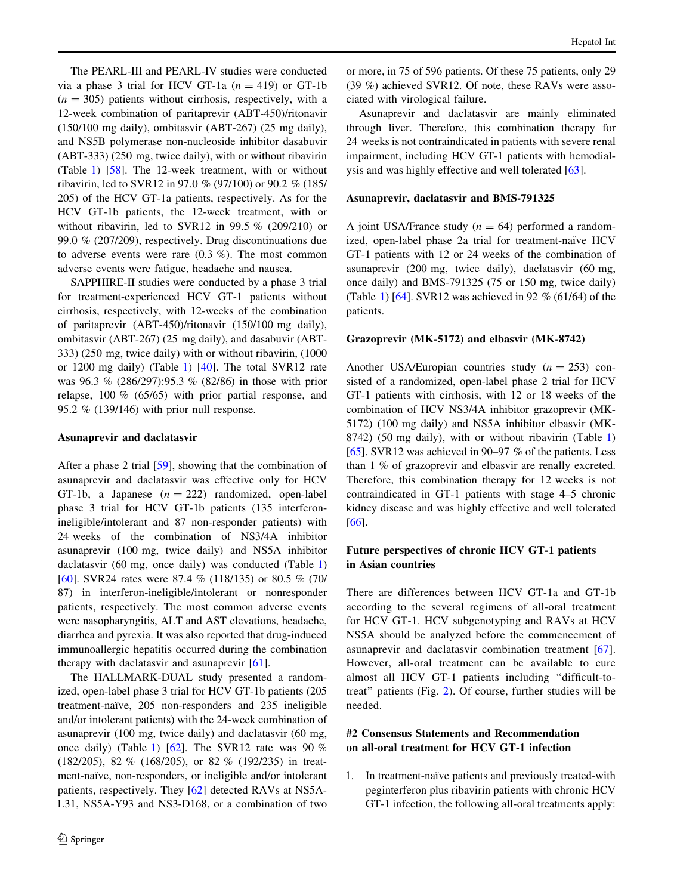The PEARL-III and PEARL-IV studies were conducted via a phase 3 trial for HCV GT-1a  $(n = 419)$  or GT-1b  $(n = 305)$  patients without cirrhosis, respectively, with a 12-week combination of paritaprevir (ABT-450)/ritonavir (150/100 mg daily), ombitasvir (ABT-267) (25 mg daily), and NS5B polymerase non-nucleoside inhibitor dasabuvir (ABT-333) (250 mg, twice daily), with or without ribavirin (Table [1](#page-4-0)) [\[58\]](#page-21-0). The 12-week treatment, with or without ribavirin, led to SVR12 in 97.0 % (97/100) or 90.2 % (185/ 205) of the HCV GT-1a patients, respectively. As for the HCV GT-1b patients, the 12-week treatment, with or without ribavirin, led to SVR12 in 99.5 % (209/210) or 99.0 % (207/209), respectively. Drug discontinuations due to adverse events were rare  $(0.3 \%)$ . The most common adverse events were fatigue, headache and nausea.

SAPPHIRE-II studies were conducted by a phase 3 trial for treatment-experienced HCV GT-1 patients without cirrhosis, respectively, with 12-weeks of the combination of paritaprevir (ABT-450)/ritonavir (150/100 mg daily), ombitasvir (ABT-267) (25 mg daily), and dasabuvir (ABT-333) (250 mg, twice daily) with or without ribavirin, (1000 or 1200 mg daily) (Table [1\)](#page-4-0) [[40\]](#page-20-0). The total SVR12 rate was 96.3 % (286/297):95.3 % (82/86) in those with prior relapse, 100 % (65/65) with prior partial response, and 95.2 % (139/146) with prior null response.

#### Asunaprevir and daclatasvir

After a phase 2 trial [[59\]](#page-21-0), showing that the combination of asunaprevir and daclatasvir was effective only for HCV GT-1b, a Japanese  $(n = 222)$  randomized, open-label phase 3 trial for HCV GT-1b patients (135 interferonineligible/intolerant and 87 non-responder patients) with 24 weeks of the combination of NS3/4A inhibitor asunaprevir (100 mg, twice daily) and NS5A inhibitor daclatasvir (60 mg, once daily) was conducted (Table [1\)](#page-4-0) [\[60](#page-21-0)]. SVR24 rates were 87.4 % (118/135) or 80.5 % (70/ 87) in interferon-ineligible/intolerant or nonresponder patients, respectively. The most common adverse events were nasopharyngitis, ALT and AST elevations, headache, diarrhea and pyrexia. It was also reported that drug-induced immunoallergic hepatitis occurred during the combination therapy with daclatasvir and asunaprevir [\[61](#page-21-0)].

The HALLMARK-DUAL study presented a randomized, open-label phase 3 trial for HCV GT-1b patients (205 treatment-naïve, 205 non-responders and 235 ineligible and/or intolerant patients) with the 24-week combination of asunaprevir (100 mg, twice daily) and daclatasvir (60 mg, once daily) (Table [1](#page-4-0)) [\[62](#page-21-0)]. The SVR12 rate was 90 % (182/205), 82 % (168/205), or 82 % (192/235) in treatment-naïve, non-responders, or ineligible and/or intolerant patients, respectively. They [\[62](#page-21-0)] detected RAVs at NS5A-L31, NS5A-Y93 and NS3-D168, or a combination of two or more, in 75 of 596 patients. Of these 75 patients, only 29 (39 %) achieved SVR12. Of note, these RAVs were associated with virological failure.

Asunaprevir and daclatasvir are mainly eliminated through liver. Therefore, this combination therapy for 24 weeks is not contraindicated in patients with severe renal impairment, including HCV GT-1 patients with hemodialysis and was highly effective and well tolerated [\[63](#page-21-0)].

#### Asunaprevir, daclatasvir and BMS-791325

A joint USA/France study ( $n = 64$ ) performed a randomized, open-label phase 2a trial for treatment-naïve HCV GT-1 patients with 12 or 24 weeks of the combination of asunaprevir (200 mg, twice daily), daclatasvir (60 mg, once daily) and BMS-791325 (75 or 150 mg, twice daily) (Table [1\)](#page-4-0) [[64\]](#page-21-0). SVR12 was achieved in 92 % (61/64) of the patients.

#### Grazoprevir (MK-5172) and elbasvir (MK-8742)

Another USA/Europian countries study  $(n = 253)$  consisted of a randomized, open-label phase 2 trial for HCV GT-1 patients with cirrhosis, with 12 or 18 weeks of the combination of HCV NS3/4A inhibitor grazoprevir (MK-5172) (100 mg daily) and NS5A inhibitor elbasvir (MK-8742) (50 mg daily), with or without ribavirin (Table [1\)](#page-4-0) [\[65](#page-21-0)]. SVR12 was achieved in 90–97 % of the patients. Less than 1 % of grazoprevir and elbasvir are renally excreted. Therefore, this combination therapy for 12 weeks is not contraindicated in GT-1 patients with stage 4–5 chronic kidney disease and was highly effective and well tolerated [\[66](#page-21-0)].

### Future perspectives of chronic HCV GT-1 patients in Asian countries

There are differences between HCV GT-1a and GT-1b according to the several regimens of all-oral treatment for HCV GT-1. HCV subgenotyping and RAVs at HCV NS5A should be analyzed before the commencement of asunaprevir and daclatasvir combination treatment [\[67](#page-21-0)]. However, all-oral treatment can be available to cure almost all HCV GT-1 patients including ''difficult-totreat'' patients (Fig. [2\)](#page-6-0). Of course, further studies will be needed.

### #2 Consensus Statements and Recommendation on all-oral treatment for HCV GT-1 infection

1. In treatment-naïve patients and previously treated-with peginterferon plus ribavirin patients with chronic HCV GT-1 infection, the following all-oral treatments apply: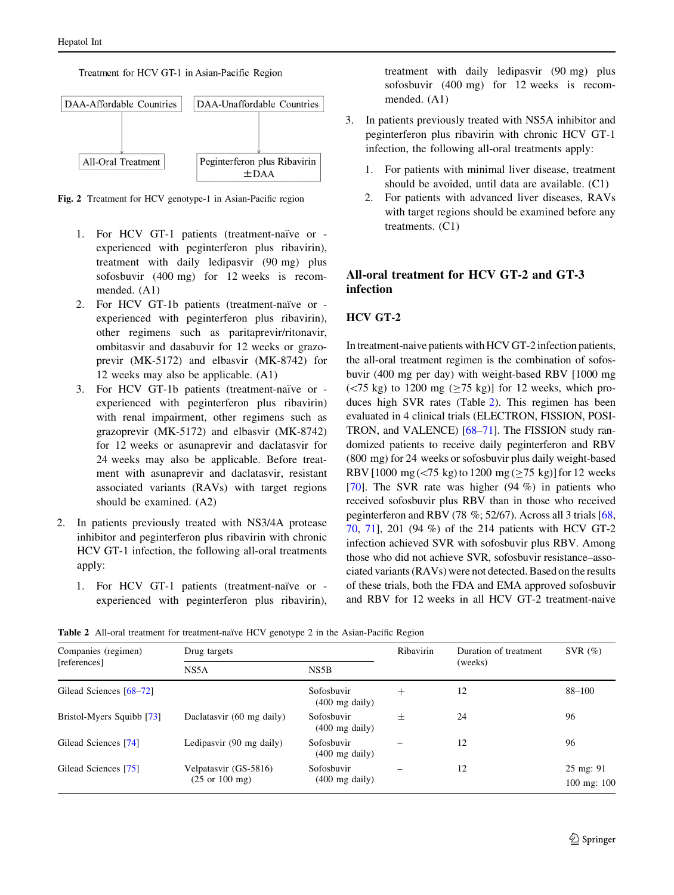<span id="page-6-0"></span>



Fig. 2 Treatment for HCV genotype-1 in Asian-Pacific region

- 1. For HCV GT-1 patients (treatment-naïve or experienced with peginterferon plus ribavirin), treatment with daily ledipasvir (90 mg) plus sofosbuvir (400 mg) for 12 weeks is recommended. (A1)
- 2. For HCV GT-1b patients (treatment-naïve or experienced with peginterferon plus ribavirin), other regimens such as paritaprevir/ritonavir, ombitasvir and dasabuvir for 12 weeks or grazoprevir (MK-5172) and elbasvir (MK-8742) for 12 weeks may also be applicable. (A1)
- 3. For HCV GT-1b patients (treatment-naïve or experienced with peginterferon plus ribavirin) with renal impairment, other regimens such as grazoprevir (MK-5172) and elbasvir (MK-8742) for 12 weeks or asunaprevir and daclatasvir for 24 weeks may also be applicable. Before treatment with asunaprevir and daclatasvir, resistant associated variants (RAVs) with target regions should be examined. (A2)
- 2. In patients previously treated with NS3/4A protease inhibitor and peginterferon plus ribavirin with chronic HCV GT-1 infection, the following all-oral treatments apply:
	- 1. For HCV GT-1 patients (treatment-naïve or experienced with peginterferon plus ribavirin),

treatment with daily ledipasvir (90 mg) plus sofosbuvir (400 mg) for 12 weeks is recommended. (A1)

- 3. In patients previously treated with NS5A inhibitor and peginterferon plus ribavirin with chronic HCV GT-1 infection, the following all-oral treatments apply:
	- 1. For patients with minimal liver disease, treatment should be avoided, until data are available. (C1)
	- 2. For patients with advanced liver diseases, RAVs with target regions should be examined before any treatments. (C1)

# All-oral treatment for HCV GT-2 and GT-3 infection

### HCV GT-2

Intreatment-naive patients with HCV GT-2 infection patients, the all-oral treatment regimen is the combination of sofosbuvir (400 mg per day) with weight-based RBV [1000 mg ( $\langle$ 75 kg) to 1200 mg ( $\geq$ 75 kg)] for 12 weeks, which produces high SVR rates (Table 2). This regimen has been evaluated in 4 clinical trials (ELECTRON, FISSION, POSI-TRON, and VALENCE) [[68–71](#page-21-0)]. The FISSION study randomized patients to receive daily peginterferon and RBV (800 mg) for 24 weeks or sofosbuvir plus daily weight-based RBV [1000 mg ( $\langle 75 \text{ kg} \rangle$  to 1200 mg ( $\geq 75 \text{ kg}$ )] for 12 weeks [\[70](#page-21-0)]. The SVR rate was higher (94 %) in patients who received sofosbuvir plus RBV than in those who received peginterferon and RBV (78 %; 52/67). Across all 3 trials [\[68,](#page-21-0) [70,](#page-21-0) [71](#page-21-0)], 201 (94 %) of the 214 patients with HCV GT-2 infection achieved SVR with sofosbuvir plus RBV. Among those who did not achieve SVR, sofosbuvir resistance–associated variants (RAVs) were not detected. Based on the results of these trials, both the FDA and EMA approved sofosbuvir and RBV for 12 weeks in all HCV GT-2 treatment-naive

Table 2 All-oral treatment for treatment-naı̈ve HCV genotype 2 in the Asian-Pacific Region

| Companies (regimen)       | Drug targets                                               |                                        | Ribavirin          | Duration of treatment | SVR $(\%)$                              |  |
|---------------------------|------------------------------------------------------------|----------------------------------------|--------------------|-----------------------|-----------------------------------------|--|
| [references]              | NS5A                                                       | NS5B                                   |                    | (weeks)               |                                         |  |
| Gilead Sciences [68–72]   |                                                            | Sofosbuvir<br>$(400 \text{ mg daily})$ | $\hspace{0.1mm} +$ | 12                    | 88-100                                  |  |
| Bristol-Myers Squibb [73] | Daclatasvir (60 mg daily)                                  | Sofosbuvir<br>$(400 \text{ mg daily})$ | 士                  | 24                    | 96                                      |  |
| Gilead Sciences [74]      | Ledipasvir (90 mg daily)                                   | Sofosbuvir<br>$(400 \text{ mg daily})$ |                    | 12                    | 96                                      |  |
| Gilead Sciences [75]      | Velpatasvir (GS-5816)<br>$(25 \text{ or } 100 \text{ mg})$ | Sofosbuvir<br>$(400 \text{ mg daily})$ |                    | 12                    | $25 \text{ mg}$ : 91<br>$100$ mg: $100$ |  |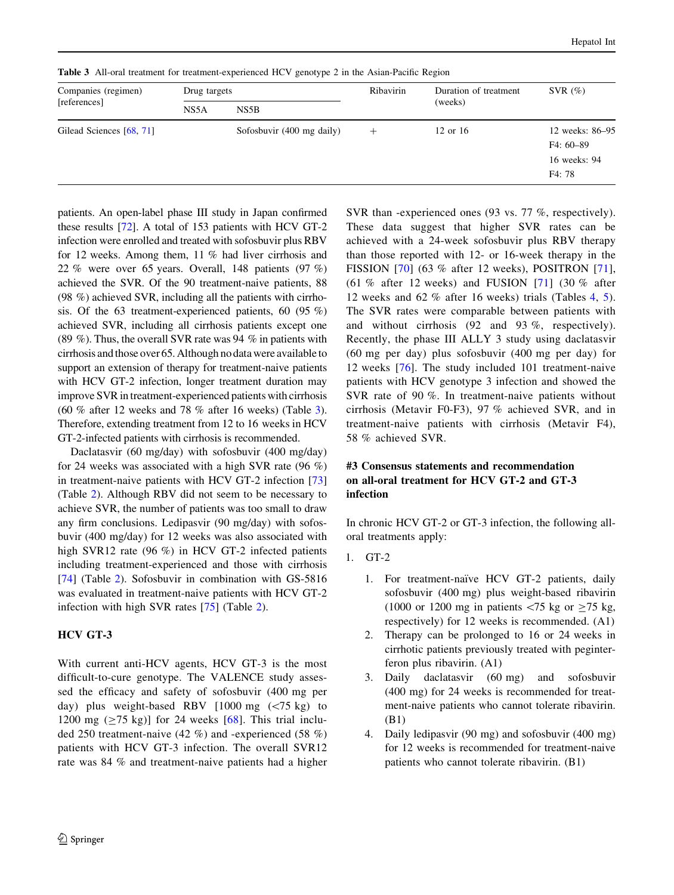Table 3 All-oral treatment for treatment-experienced HCV genotype 2 in the Asian-Pacific Region

| Companies (regimen)      | Drug targets |                           | Ribavirin          | Duration of treatment | SVR $(\%)$      |
|--------------------------|--------------|---------------------------|--------------------|-----------------------|-----------------|
| [references]             | NS5A         | NS5B                      |                    | (weeks)               |                 |
| Gilead Sciences [68, 71] |              | Sofosbuvir (400 mg daily) | $\hspace{0.1mm} +$ | $12$ or $16$          | 12 weeks: 86–95 |
|                          |              |                           |                    |                       | $F4:60-89$      |
|                          |              |                           |                    |                       | 16 weeks: 94    |
|                          |              |                           |                    |                       | F4:78           |

patients. An open-label phase III study in Japan confirmed these results [\[72\]](#page-21-0). A total of 153 patients with HCV GT-2 infection were enrolled and treated with sofosbuvir plus RBV for 12 weeks. Among them, 11 % had liver cirrhosis and 22 % were over 65 years. Overall, 148 patients (97 %) achieved the SVR. Of the 90 treatment-naive patients, 88 (98 %) achieved SVR, including all the patients with cirrhosis. Of the 63 treatment-experienced patients, 60 (95 %) achieved SVR, including all cirrhosis patients except one (89 %). Thus, the overall SVR rate was 94 % in patients with cirrhosis and those over 65. Although no data were availableto support an extension of therapy for treatment-naive patients with HCV GT-2 infection, longer treatment duration may improve SVR in treatment-experienced patients with cirrhosis (60 % after 12 weeks and 78 % after 16 weeks) (Table 3). Therefore, extending treatment from 12 to 16 weeks in HCV GT-2-infected patients with cirrhosis is recommended.

Daclatasvir (60 mg/day) with sofosbuvir (400 mg/day) for 24 weeks was associated with a high SVR rate (96 %) in treatment-naive patients with HCV GT-2 infection [[73\]](#page-22-0) (Table [2](#page-6-0)). Although RBV did not seem to be necessary to achieve SVR, the number of patients was too small to draw any firm conclusions. Ledipasvir (90 mg/day) with sofosbuvir (400 mg/day) for 12 weeks was also associated with high SVR12 rate (96 %) in HCV GT-2 infected patients including treatment-experienced and those with cirrhosis [\[74](#page-22-0)] (Table [2](#page-6-0)). Sofosbuvir in combination with GS-5816 was evaluated in treatment-naive patients with HCV GT-2 infection with high SVR rates [\[75](#page-22-0)] (Table [2\)](#page-6-0).

### HCV GT-3

With current anti-HCV agents, HCV GT-3 is the most difficult-to-cure genotype. The VALENCE study assessed the efficacy and safety of sofosbuvir (400 mg per day) plus weight-based RBV  $[1000 \text{ mg } (\leq 75 \text{ kg})$  to 1200 mg  $(\geq 75 \text{ kg})$ ] for 24 weeks [[68](#page-21-0)]. This trial included 250 treatment-naive (42 %) and -experienced (58 %) patients with HCV GT-3 infection. The overall SVR12 rate was 84 % and treatment-naive patients had a higher SVR than -experienced ones (93 vs. 77 %, respectively). These data suggest that higher SVR rates can be achieved with a 24-week sofosbuvir plus RBV therapy than those reported with 12- or 16-week therapy in the FISSION [[70](#page-21-0)] (63 % after 12 weeks), POSITRON [\[71](#page-21-0)], (61 % after 12 weeks) and FUSION  $[71]$  (30 % after 12 weeks and 62 % after 16 weeks) trials (Tables [4,](#page-8-0) [5](#page-8-0)). The SVR rates were comparable between patients with and without cirrhosis (92 and 93 %, respectively). Recently, the phase III ALLY 3 study using daclatasvir (60 mg per day) plus sofosbuvir (400 mg per day) for 12 weeks [[76](#page-22-0)]. The study included 101 treatment-naive patients with HCV genotype 3 infection and showed the SVR rate of 90 %. In treatment-naive patients without cirrhosis (Metavir F0-F3), 97 % achieved SVR, and in treatment-naive patients with cirrhosis (Metavir F4), 58 % achieved SVR.

### #3 Consensus statements and recommendation on all-oral treatment for HCV GT-2 and GT-3 infection

In chronic HCV GT-2 or GT-3 infection, the following alloral treatments apply:

- 1. GT-2
	- 1. For treatment-naïve HCV GT-2 patients, daily sofosbuvir (400 mg) plus weight-based ribavirin (1000 or 1200 mg in patients  $\langle 75 \text{ kg} \rangle$  or  $\geq 75 \text{ kg}$ , respectively) for 12 weeks is recommended. (A1)
	- 2. Therapy can be prolonged to 16 or 24 weeks in cirrhotic patients previously treated with peginterferon plus ribavirin. (A1)
	- 3. Daily daclatasvir (60 mg) and sofosbuvir (400 mg) for 24 weeks is recommended for treatment-naive patients who cannot tolerate ribavirin. (B1)
	- 4. Daily ledipasvir (90 mg) and sofosbuvir (400 mg) for 12 weeks is recommended for treatment-naive patients who cannot tolerate ribavirin. (B1)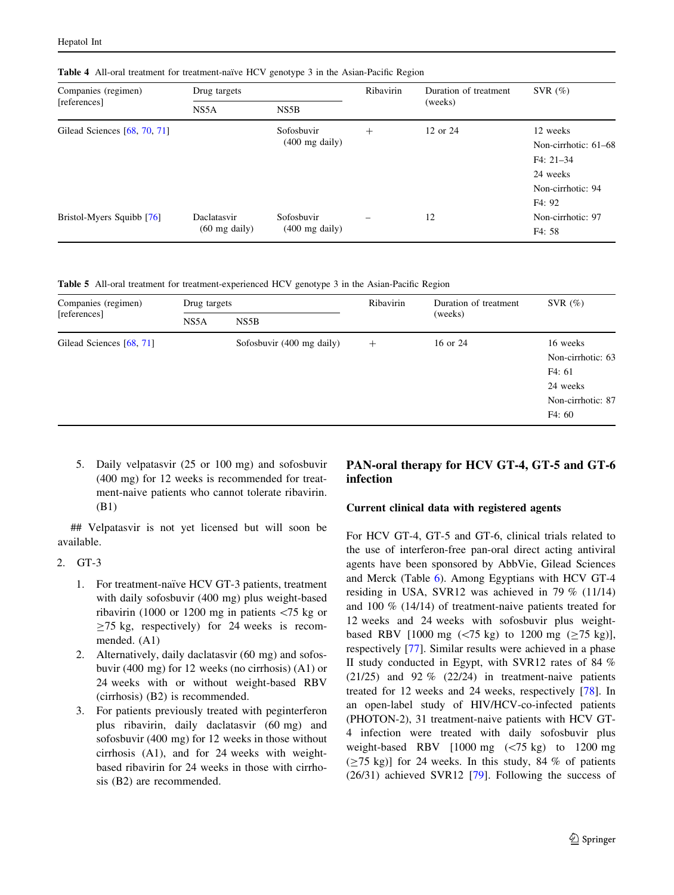| Companies (regimen)            | Drug targets                           |                                        | Ribavirin | Duration of treatment | SVR $(\%)$                                                                                |  |
|--------------------------------|----------------------------------------|----------------------------------------|-----------|-----------------------|-------------------------------------------------------------------------------------------|--|
| [references]                   | NS5A                                   | NS5B                                   |           | (weeks)               |                                                                                           |  |
| Gilead Sciences $[68, 70, 71]$ |                                        | Sofosbuvir<br>$(400 \text{ mg daily})$ | $+$       | 12 or 24              | 12 weeks<br>Non-cirrhotic: 61–68<br>$F4: 21-34$<br>24 weeks<br>Non-cirrhotic: 94<br>F4:92 |  |
| Bristol-Myers Squibb [76]      | Daclatasvir<br>$(60 \text{ mg daily})$ | Sofosbuvir<br>$(400 \text{ mg daily})$ | -         | 12                    | Non-cirrhotic: 97<br>F4:58                                                                |  |

<span id="page-8-0"></span>Table 4 All-oral treatment for treatment-naïve HCV genotype 3 in the Asian-Pacific Region

Table 5 All-oral treatment for treatment-experienced HCV genotype 3 in the Asian-Pacific Region

| Companies (regimen)      | Drug targets      |                           | Ribavirin | Duration of treatment | SVR $(\%)$        |
|--------------------------|-------------------|---------------------------|-----------|-----------------------|-------------------|
| [references]             | NS <sub>5</sub> A | NS5B                      |           | (weeks)               |                   |
| Gilead Sciences [68, 71] |                   | Sofosbuvir (400 mg daily) | $^+$      | 16 or 24              | 16 weeks          |
|                          |                   |                           |           |                       | Non-cirrhotic: 63 |
|                          |                   |                           |           |                       | F4:61             |
|                          |                   |                           |           |                       | 24 weeks          |
|                          |                   |                           |           |                       | Non-cirrhotic: 87 |
|                          |                   |                           |           |                       | F4:60             |

5. Daily velpatasvir (25 or 100 mg) and sofosbuvir (400 mg) for 12 weeks is recommended for treatment-naive patients who cannot tolerate ribavirin. (B1)

## Velpatasvir is not yet licensed but will soon be available.

- 2. GT-3
	- 1. For treatment-naïve HCV GT-3 patients, treatment with daily sofosbuvir (400 mg) plus weight-based ribavirin (1000 or 1200 mg in patients  $\langle 75 \rangle$  kg or  $\geq$ 75 kg, respectively) for 24 weeks is recommended. (A1)
	- 2. Alternatively, daily daclatasvir (60 mg) and sofosbuvir (400 mg) for 12 weeks (no cirrhosis) (A1) or 24 weeks with or without weight-based RBV (cirrhosis) (B2) is recommended.
	- 3. For patients previously treated with peginterferon plus ribavirin, daily daclatasvir (60 mg) and sofosbuvir (400 mg) for 12 weeks in those without cirrhosis (A1), and for 24 weeks with weightbased ribavirin for 24 weeks in those with cirrhosis (B2) are recommended.

# PAN-oral therapy for HCV GT-4, GT-5 and GT-6 infection

### Current clinical data with registered agents

For HCV GT-4, GT-5 and GT-6, clinical trials related to the use of interferon-free pan-oral direct acting antiviral agents have been sponsored by AbbVie, Gilead Sciences and Merck (Table [6\)](#page-9-0). Among Egyptians with HCV GT-4 residing in USA, SVR12 was achieved in 79 % (11/14) and 100 % (14/14) of treatment-naive patients treated for 12 weeks and 24 weeks with sofosbuvir plus weightbased RBV [1000 mg  $\langle$  -75 kg) to 1200 mg  $($  -75 kg)], respectively [[77\]](#page-22-0). Similar results were achieved in a phase II study conducted in Egypt, with SVR12 rates of 84 %  $(21/25)$  and 92 %  $(22/24)$  in treatment-naive patients treated for 12 weeks and 24 weeks, respectively [[78\]](#page-22-0). In an open-label study of HIV/HCV-co-infected patients (PHOTON-2), 31 treatment-naive patients with HCV GT-4 infection were treated with daily sofosbuvir plus weight-based RBV  $[1000 \text{ mg } (\leq 75 \text{ kg})$  to 1200 mg  $(\geq 75 \text{ kg})$ ] for 24 weeks. In this study, 84 % of patients (26/31) achieved SVR12 [[79\]](#page-22-0). Following the success of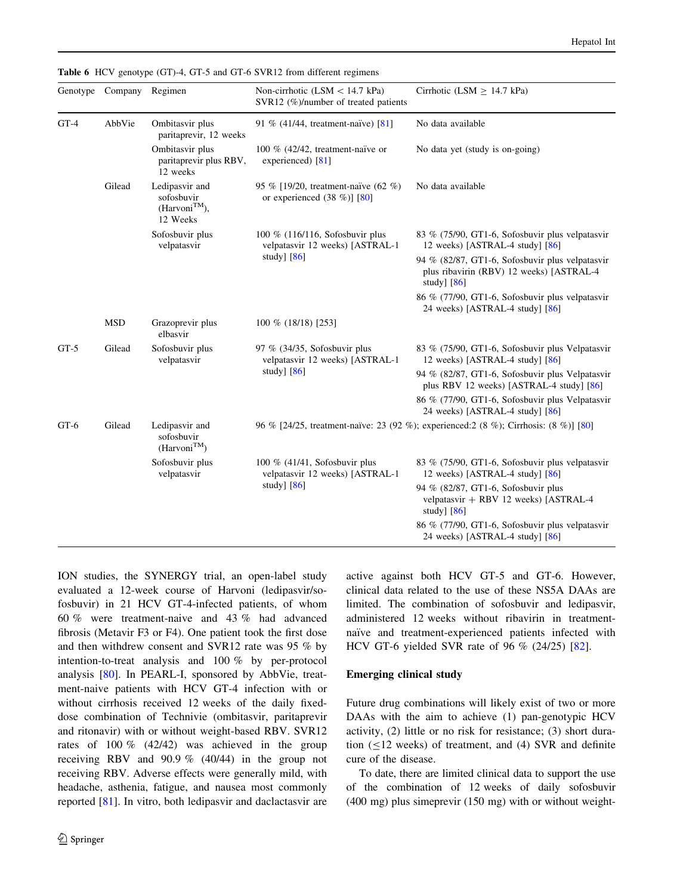|                      | Genotype Company | Regimen                                                               | Non-cirrhotic (LSM < 14.7 kPa)<br>SVR12 (%)/number of treated patients | Cirrhotic (LSM $\geq$ 14.7 kPa)                                                                             |  |  |
|----------------------|------------------|-----------------------------------------------------------------------|------------------------------------------------------------------------|-------------------------------------------------------------------------------------------------------------|--|--|
| $GT-4$               | AbbVie           | Ombitasvir plus<br>paritaprevir, 12 weeks                             | 91 % (41/44, treatment-naïve) [81]                                     | No data available                                                                                           |  |  |
|                      |                  | Ombitasvir plus<br>paritaprevir plus RBV,<br>12 weeks                 | 100 % (42/42, treatment-naïve or<br>experienced) [81]                  | No data yet (study is on-going)                                                                             |  |  |
| Gilead<br><b>MSD</b> |                  | Ledipasvir and<br>sofosbuvir<br>(Harvoni <sup>TM</sup> ),<br>12 Weeks | 95 % [19/20, treatment-naïve (62 %)<br>or experienced $(38 \%)$ [80]   | No data available                                                                                           |  |  |
|                      |                  | Sofosbuvir plus<br>velpatasvir                                        | 100 % (116/116, Sofosbuvir plus<br>velpatasvir 12 weeks) [ASTRAL-1     | 83 % (75/90, GT1-6, Sofosbuvir plus velpatasvir<br>12 weeks) [ASTRAL-4 study] $[86]$                        |  |  |
|                      |                  |                                                                       | study $[86]$                                                           | 94 % (82/87, GT1-6, Sofosbuvir plus velpatasvir<br>plus ribavirin (RBV) 12 weeks) [ASTRAL-4<br>study $[86]$ |  |  |
|                      |                  |                                                                       |                                                                        | 86 % (77/90, GT1-6, Sofosbuvir plus velpatasvir<br>24 weeks) [ASTRAL-4 study] [86]                          |  |  |
|                      |                  | Grazoprevir plus<br>elbasvir                                          | 100 % (18/18) [253]                                                    |                                                                                                             |  |  |
| $GT-5$               | Gilead           | Sofosbuvir plus<br>velpatasvir                                        | 97 % (34/35, Sofosbuvir plus<br>velpatasvir 12 weeks) [ASTRAL-1        | 83 % (75/90, GT1-6, Sofosbuvir plus Velpatasvir<br>12 weeks) [ASTRAL-4 study] [86]                          |  |  |
|                      |                  |                                                                       | study $ 56 $                                                           | 94 % (82/87, GT1-6, Sofosbuvir plus Velpatasvir<br>plus RBV 12 weeks) [ASTRAL-4 study] [86]                 |  |  |
|                      |                  |                                                                       |                                                                        | 86 % (77/90, GT1-6, Sofosbuvir plus Velpatasvir<br>24 weeks) [ASTRAL-4 study] $[86]$                        |  |  |
| $GT-6$               | Gilead           | Ledipasvir and<br>sofosbuvir<br>(Harvoni <sup>TM</sup> )              |                                                                        | 96 % [24/25, treatment-naïve: 23 (92 %); experienced: 2 (8 %); Cirrhosis: (8 %)] [80]                       |  |  |
|                      |                  | Sofosbuvir plus<br>velpatasvir                                        | 100 $%$ (41/41, Sofosbuvir plus<br>velpatasvir 12 weeks) [ASTRAL-1     | 83 % (75/90, GT1-6, Sofosbuvir plus velpatasvir<br>12 weeks) [ASTRAL-4 study] $[86]$                        |  |  |
|                      |                  |                                                                       | study $[86]$                                                           | 94 % (82/87, GT1-6, Sofosbuvir plus<br>velpatasvir + RBV 12 weeks) [ASTRAL-4<br>study $[86]$                |  |  |
|                      |                  |                                                                       |                                                                        | 86 % (77/90, GT1-6, Sofosbuvir plus velpatasvir<br>24 weeks) [ASTRAL-4 study] $[86]$                        |  |  |

<span id="page-9-0"></span>Table 6 HCV genotype (GT)-4, GT-5 and GT-6 SVR12 from different regimens

ION studies, the SYNERGY trial, an open-label study evaluated a 12-week course of Harvoni (ledipasvir/sofosbuvir) in 21 HCV GT-4-infected patients, of whom 60 % were treatment-naive and 43 % had advanced fibrosis (Metavir F3 or F4). One patient took the first dose and then withdrew consent and SVR12 rate was 95 % by intention-to-treat analysis and 100 % by per-protocol analysis [\[80](#page-22-0)]. In PEARL-I, sponsored by AbbVie, treatment-naive patients with HCV GT-4 infection with or without cirrhosis received 12 weeks of the daily fixeddose combination of Technivie (ombitasvir, paritaprevir and ritonavir) with or without weight-based RBV. SVR12 rates of 100 % (42/42) was achieved in the group receiving RBV and 90.9 % (40/44) in the group not receiving RBV. Adverse effects were generally mild, with headache, asthenia, fatigue, and nausea most commonly reported [[81\]](#page-22-0). In vitro, both ledipasvir and daclactasvir are active against both HCV GT-5 and GT-6. However, clinical data related to the use of these NS5A DAAs are limited. The combination of sofosbuvir and ledipasvir, administered 12 weeks without ribavirin in treatmentnaïve and treatment-experienced patients infected with HCV GT-6 yielded SVR rate of 96 % (24/25) [\[82](#page-22-0)].

### Emerging clinical study

Future drug combinations will likely exist of two or more DAAs with the aim to achieve (1) pan-genotypic HCV activity, (2) little or no risk for resistance; (3) short duration  $(\leq 12$  weeks) of treatment, and (4) SVR and definite cure of the disease.

To date, there are limited clinical data to support the use of the combination of 12 weeks of daily sofosbuvir (400 mg) plus simeprevir (150 mg) with or without weight-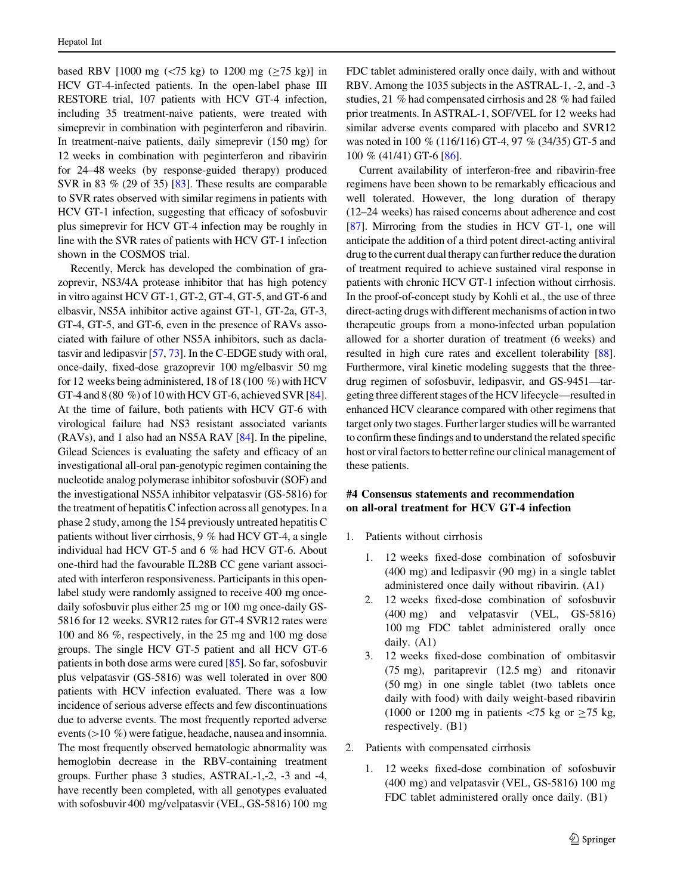based RBV  $[1000 \text{ mg } (\leq 75 \text{ kg})$  to  $1200 \text{ mg } (\geq 75 \text{ kg})$ ] in HCV GT-4-infected patients. In the open-label phase III RESTORE trial, 107 patients with HCV GT-4 infection, including 35 treatment-naive patients, were treated with simeprevir in combination with peginterferon and ribavirin. In treatment-naive patients, daily simeprevir (150 mg) for 12 weeks in combination with peginterferon and ribavirin for 24–48 weeks (by response-guided therapy) produced SVR in 83 % (29 of 35) [[83\]](#page-22-0). These results are comparable to SVR rates observed with similar regimens in patients with HCV GT-1 infection, suggesting that efficacy of sofosbuvir plus simeprevir for HCV GT-4 infection may be roughly in line with the SVR rates of patients with HCV GT-1 infection shown in the COSMOS trial.

Recently, Merck has developed the combination of grazoprevir, NS3/4A protease inhibitor that has high potency in vitro against HCV GT-1, GT-2, GT-4, GT-5, and GT-6 and elbasvir, NS5A inhibitor active against GT-1, GT-2a, GT-3, GT-4, GT-5, and GT-6, even in the presence of RAVs associated with failure of other NS5A inhibitors, such as daclatasvir and ledipasvir [[57,](#page-21-0) [73\]](#page-22-0). In the C-EDGE study with oral, once-daily, fixed-dose grazoprevir 100 mg/elbasvir 50 mg for 12 weeks being administered, 18 of 18 (100 %) with HCV GT-4 and 8 (80 %) of 10 with HCV GT-6, achieved SVR [[84](#page-22-0)]. At the time of failure, both patients with HCV GT-6 with virological failure had NS3 resistant associated variants (RAVs), and 1 also had an NS5A RAV [[84\]](#page-22-0). In the pipeline, Gilead Sciences is evaluating the safety and efficacy of an investigational all-oral pan-genotypic regimen containing the nucleotide analog polymerase inhibitor sofosbuvir (SOF) and the investigational NS5A inhibitor velpatasvir (GS-5816) for the treatment of hepatitis C infection across all genotypes. In a phase 2 study, among the 154 previously untreated hepatitis C patients without liver cirrhosis, 9 % had HCV GT-4, a single individual had HCV GT-5 and 6 % had HCV GT-6. About one-third had the favourable IL28B CC gene variant associated with interferon responsiveness. Participants in this openlabel study were randomly assigned to receive 400 mg oncedaily sofosbuvir plus either 25 mg or 100 mg once-daily GS-5816 for 12 weeks. SVR12 rates for GT-4 SVR12 rates were 100 and 86 %, respectively, in the 25 mg and 100 mg dose groups. The single HCV GT-5 patient and all HCV GT-6 patients in both dose arms were cured [[85](#page-22-0)]. So far, sofosbuvir plus velpatasvir (GS-5816) was well tolerated in over 800 patients with HCV infection evaluated. There was a low incidence of serious adverse effects and few discontinuations due to adverse events. The most frequently reported adverse events  $(>10 \%)$  were fatigue, headache, nausea and insomnia. The most frequently observed hematologic abnormality was hemoglobin decrease in the RBV-containing treatment groups. Further phase 3 studies, ASTRAL-1,-2, -3 and -4, have recently been completed, with all genotypes evaluated with sofosbuvir 400 mg/velpatasvir (VEL, GS-5816) 100 mg FDC tablet administered orally once daily, with and without RBV. Among the 1035 subjects in the ASTRAL-1, -2, and -3 studies, 21 % had compensated cirrhosis and 28 % had failed prior treatments. In ASTRAL-1, SOF/VEL for 12 weeks had similar adverse events compared with placebo and SVR12 was noted in 100 % (116/116) GT-4, 97 % (34/35) GT-5 and 100 % (41/41) GT-6 [\[86\]](#page-22-0).

Current availability of interferon-free and ribavirin-free regimens have been shown to be remarkably efficacious and well tolerated. However, the long duration of therapy (12–24 weeks) has raised concerns about adherence and cost [\[87](#page-22-0)]. Mirroring from the studies in HCV GT-1, one will anticipate the addition of a third potent direct-acting antiviral drug to the current dual therapy can further reduce the duration of treatment required to achieve sustained viral response in patients with chronic HCV GT-1 infection without cirrhosis. In the proof-of-concept study by Kohli et al., the use of three direct-acting drugs with different mechanisms of action in two therapeutic groups from a mono-infected urban population allowed for a shorter duration of treatment (6 weeks) and resulted in high cure rates and excellent tolerability [[88\]](#page-22-0). Furthermore, viral kinetic modeling suggests that the threedrug regimen of sofosbuvir, ledipasvir, and GS-9451—targeting three different stages of the HCV lifecycle—resulted in enhanced HCV clearance compared with other regimens that target only two stages. Further larger studies will be warranted to confirm these findings and to understand the related specific host or viral factors to better refine our clinical management of these patients.

### #4 Consensus statements and recommendation on all-oral treatment for HCV GT-4 infection

- 1. Patients without cirrhosis
	- 1. 12 weeks fixed-dose combination of sofosbuvir (400 mg) and ledipasvir (90 mg) in a single tablet administered once daily without ribavirin. (A1)
	- 2. 12 weeks fixed-dose combination of sofosbuvir (400 mg) and velpatasvir (VEL, GS-5816) 100 mg FDC tablet administered orally once daily. (A1)
	- 3. 12 weeks fixed-dose combination of ombitasvir (75 mg), paritaprevir (12.5 mg) and ritonavir (50 mg) in one single tablet (two tablets once daily with food) with daily weight-based ribavirin (1000 or 1200 mg in patients  $\langle 75 \text{ kg} \rangle$  or  $\geq 75 \text{ kg}$ , respectively. (B1)
- 2. Patients with compensated cirrhosis
	- 1. 12 weeks fixed-dose combination of sofosbuvir (400 mg) and velpatasvir (VEL, GS-5816) 100 mg FDC tablet administered orally once daily. (B1)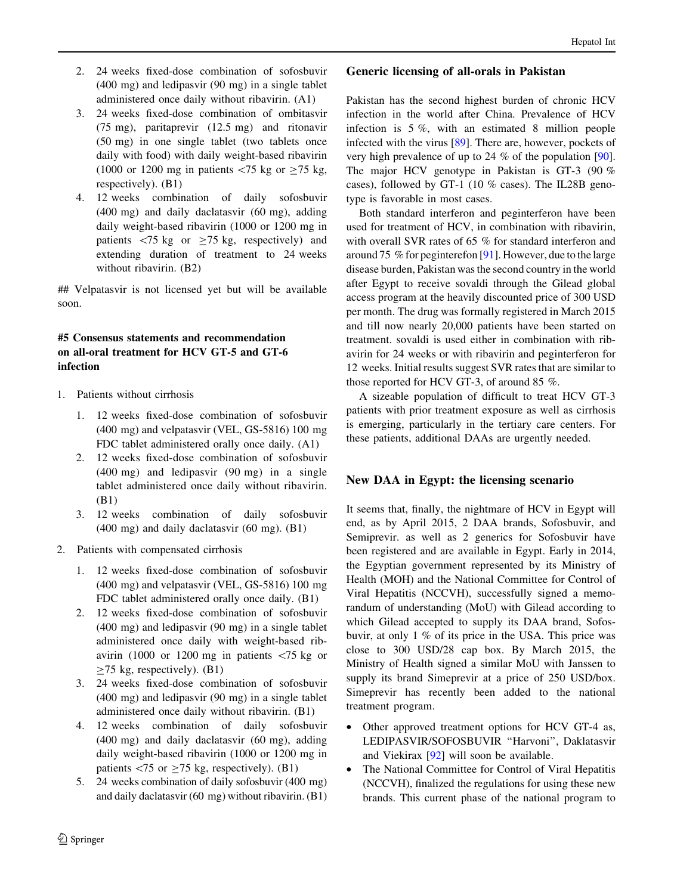- 2. 24 weeks fixed-dose combination of sofosbuvir (400 mg) and ledipasvir (90 mg) in a single tablet administered once daily without ribavirin. (A1)
- 3. 24 weeks fixed-dose combination of ombitasvir (75 mg), paritaprevir (12.5 mg) and ritonavir (50 mg) in one single tablet (two tablets once daily with food) with daily weight-based ribavirin (1000 or 1200 mg in patients  $\langle 75 \text{ kg} \rangle$  or  $\geq 75 \text{ kg}$ , respectively). (B1)
- 4. 12 weeks combination of daily sofosbuvir (400 mg) and daily daclatasvir (60 mg), adding daily weight-based ribavirin (1000 or 1200 mg in patients  $\langle 75 \text{ kg} \text{ or } \rangle 275 \text{ kg}$ , respectively) and extending duration of treatment to 24 weeks without ribavirin. (B2)

## Velpatasvir is not licensed yet but will be available soon.

# #5 Consensus statements and recommendation on all-oral treatment for HCV GT-5 and GT-6 infection

- 1. Patients without cirrhosis
	- 1. 12 weeks fixed-dose combination of sofosbuvir (400 mg) and velpatasvir (VEL, GS-5816) 100 mg FDC tablet administered orally once daily. (A1)
	- 2. 12 weeks fixed-dose combination of sofosbuvir (400 mg) and ledipasvir (90 mg) in a single tablet administered once daily without ribavirin. (B1)
	- 3. 12 weeks combination of daily sofosbuvir (400 mg) and daily daclatasvir (60 mg). (B1)
- 2. Patients with compensated cirrhosis
	- 1. 12 weeks fixed-dose combination of sofosbuvir (400 mg) and velpatasvir (VEL, GS-5816) 100 mg FDC tablet administered orally once daily. (B1)
	- 2. 12 weeks fixed-dose combination of sofosbuvir (400 mg) and ledipasvir (90 mg) in a single tablet administered once daily with weight-based ribavirin (1000 or 1200 mg in patients  $\langle 75 \text{ kg}$  or  $\geq$ 75 kg, respectively). (B1)
	- 3. 24 weeks fixed-dose combination of sofosbuvir (400 mg) and ledipasvir (90 mg) in a single tablet administered once daily without ribavirin. (B1)
	- 4. 12 weeks combination of daily sofosbuvir (400 mg) and daily daclatasvir (60 mg), adding daily weight-based ribavirin (1000 or 1200 mg in patients  $\langle 75 \text{ or } \rangle 275 \text{ kg}$ , respectively). (B1)
	- 5. 24 weeks combination of daily sofosbuvir (400 mg) and daily daclatasvir (60 mg) without ribavirin. (B1)

# Generic licensing of all-orals in Pakistan

Pakistan has the second highest burden of chronic HCV infection in the world after China. Prevalence of HCV infection is 5 %, with an estimated 8 million people infected with the virus [[89\]](#page-22-0). There are, however, pockets of very high prevalence of up to 24 % of the population [\[90](#page-22-0)]. The major HCV genotype in Pakistan is GT-3 (90 % cases), followed by GT-1 (10 % cases). The IL28B genotype is favorable in most cases.

Both standard interferon and peginterferon have been used for treatment of HCV, in combination with ribavirin, with overall SVR rates of 65 % for standard interferon and around 75 % for peginterefon [\[91](#page-22-0)]. However, due to the large disease burden, Pakistan was the second country in the world after Egypt to receive sovaldi through the Gilead global access program at the heavily discounted price of 300 USD per month. The drug was formally registered in March 2015 and till now nearly 20,000 patients have been started on treatment. sovaldi is used either in combination with ribavirin for 24 weeks or with ribavirin and peginterferon for 12 weeks. Initial results suggest SVR rates that are similar to those reported for HCV GT-3, of around 85 %.

A sizeable population of difficult to treat HCV GT-3 patients with prior treatment exposure as well as cirrhosis is emerging, particularly in the tertiary care centers. For these patients, additional DAAs are urgently needed.

# New DAA in Egypt: the licensing scenario

It seems that, finally, the nightmare of HCV in Egypt will end, as by April 2015, 2 DAA brands, Sofosbuvir, and Semiprevir. as well as 2 generics for Sofosbuvir have been registered and are available in Egypt. Early in 2014, the Egyptian government represented by its Ministry of Health (MOH) and the National Committee for Control of Viral Hepatitis (NCCVH), successfully signed a memorandum of understanding (MoU) with Gilead according to which Gilead accepted to supply its DAA brand, Sofosbuvir, at only 1 % of its price in the USA. This price was close to 300 USD/28 cap box. By March 2015, the Ministry of Health signed a similar MoU with Janssen to supply its brand Simeprevir at a price of 250 USD/box. Simeprevir has recently been added to the national treatment program.

- Other approved treatment options for HCV GT-4 as, LEDIPASVIR/SOFOSBUVIR ''Harvoni'', Daklatasvir and Viekirax [\[92](#page-22-0)] will soon be available.
- The National Committee for Control of Viral Hepatitis (NCCVH), finalized the regulations for using these new brands. This current phase of the national program to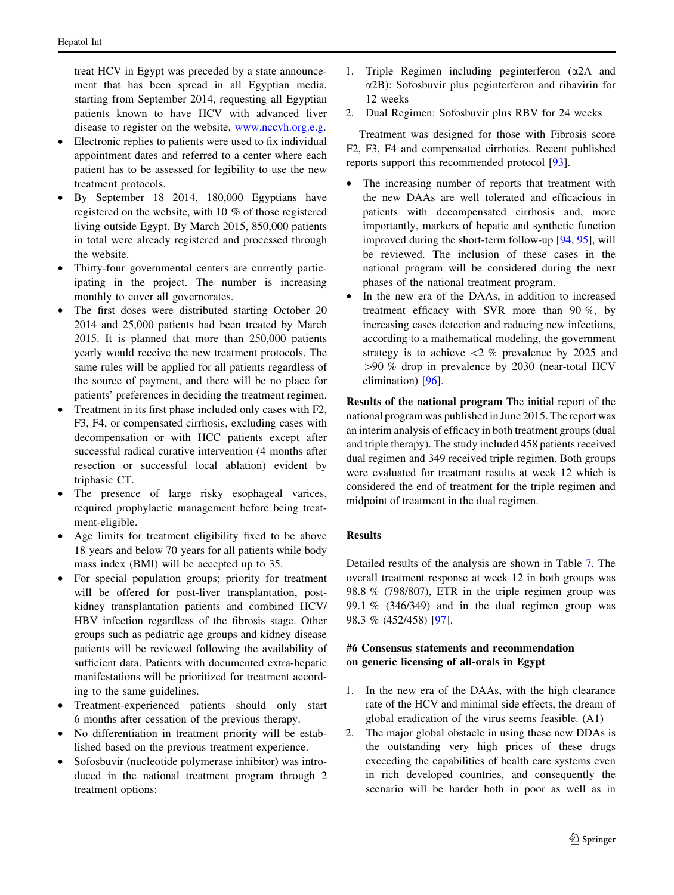treat HCV in Egypt was preceded by a state announcement that has been spread in all Egyptian media, starting from September 2014, requesting all Egyptian patients known to have HCV with advanced liver disease to register on the website, [www.nccvh.org.e.g.](http://www.nccvh.org.e.g)

- Electronic replies to patients were used to fix individual appointment dates and referred to a center where each patient has to be assessed for legibility to use the new treatment protocols.
- By September 18 2014, 180,000 Egyptians have registered on the website, with 10 % of those registered living outside Egypt. By March 2015, 850,000 patients in total were already registered and processed through the website.
- Thirty-four governmental centers are currently participating in the project. The number is increasing monthly to cover all governorates.
- The first doses were distributed starting October 20 2014 and 25,000 patients had been treated by March 2015. It is planned that more than 250,000 patients yearly would receive the new treatment protocols. The same rules will be applied for all patients regardless of the source of payment, and there will be no place for patients' preferences in deciding the treatment regimen.
- Treatment in its first phase included only cases with F2, F3, F4, or compensated cirrhosis, excluding cases with decompensation or with HCC patients except after successful radical curative intervention (4 months after resection or successful local ablation) evident by triphasic CT.
- The presence of large risky esophageal varices, required prophylactic management before being treatment-eligible.
- Age limits for treatment eligibility fixed to be above 18 years and below 70 years for all patients while body mass index (BMI) will be accepted up to 35.
- For special population groups; priority for treatment will be offered for post-liver transplantation, postkidney transplantation patients and combined HCV/ HBV infection regardless of the fibrosis stage. Other groups such as pediatric age groups and kidney disease patients will be reviewed following the availability of sufficient data. Patients with documented extra-hepatic manifestations will be prioritized for treatment according to the same guidelines.
- Treatment-experienced patients should only start 6 months after cessation of the previous therapy.
- No differentiation in treatment priority will be established based on the previous treatment experience.
- Sofosbuvir (nucleotide polymerase inhibitor) was introduced in the national treatment program through 2 treatment options:
- 1. Triple Regimen including peginterferon  $(\alpha 2A$  and a2B): Sofosbuvir plus peginterferon and ribavirin for 12 weeks
- 2. Dual Regimen: Sofosbuvir plus RBV for 24 weeks

Treatment was designed for those with Fibrosis score F2, F3, F4 and compensated cirrhotics. Recent published reports support this recommended protocol [\[93](#page-22-0)].

- The increasing number of reports that treatment with the new DAAs are well tolerated and efficacious in patients with decompensated cirrhosis and, more importantly, markers of hepatic and synthetic function improved during the short-term follow-up [\[94](#page-22-0), [95](#page-22-0)], will be reviewed. The inclusion of these cases in the national program will be considered during the next phases of the national treatment program.
- In the new era of the DAAs, in addition to increased treatment efficacy with SVR more than 90 %, by increasing cases detection and reducing new infections, according to a mathematical modeling, the government strategy is to achieve  $\langle 2 \%$  prevalence by 2025 and  $>90$  % drop in prevalence by 2030 (near-total HCV elimination) [\[96](#page-22-0)].

Results of the national program The initial report of the national program was published in June 2015. The report was an interim analysis of efficacy in both treatment groups (dual and triple therapy). The study included 458 patients received dual regimen and 349 received triple regimen. Both groups were evaluated for treatment results at week 12 which is considered the end of treatment for the triple regimen and midpoint of treatment in the dual regimen.

### Results

Detailed results of the analysis are shown in Table [7.](#page-13-0) The overall treatment response at week 12 in both groups was 98.8 % (798/807), ETR in the triple regimen group was 99.1 % (346/349) and in the dual regimen group was 98.3 % (452/458) [[97\]](#page-22-0).

# #6 Consensus statements and recommendation on generic licensing of all-orals in Egypt

- 1. In the new era of the DAAs, with the high clearance rate of the HCV and minimal side effects, the dream of global eradication of the virus seems feasible. (A1)
- 2. The major global obstacle in using these new DDAs is the outstanding very high prices of these drugs exceeding the capabilities of health care systems even in rich developed countries, and consequently the scenario will be harder both in poor as well as in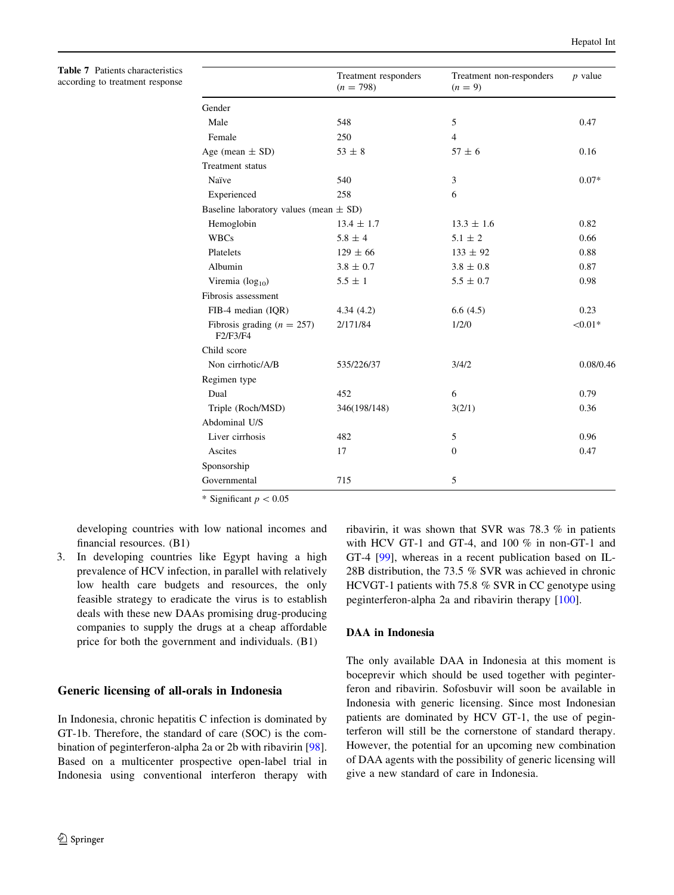|                                                                                | Treatment responders<br>$(n = 798)$ | Treatment non-responders<br>$(n = 9)$ | $p$ value |
|--------------------------------------------------------------------------------|-------------------------------------|---------------------------------------|-----------|
| Gender                                                                         |                                     |                                       |           |
| Male                                                                           | 548                                 | 5                                     | 0.47      |
| Female                                                                         | 250                                 | $\overline{4}$                        |           |
| Age (mean $\pm$ SD)                                                            | $53 \pm 8$                          | $57 \pm 6$                            | 0.16      |
| <b>Treatment</b> status                                                        |                                     |                                       |           |
| Naïve                                                                          | 540                                 | 3                                     | $0.07*$   |
| Experienced                                                                    | 258                                 | 6                                     |           |
| Baseline laboratory values (mean $\pm$ SD)                                     |                                     |                                       |           |
| Hemoglobin                                                                     | $13.4 \pm 1.7$                      | $13.3 \pm 1.6$                        | 0.82      |
| <b>WBCs</b>                                                                    | $5.8 \pm 4$                         | $5.1 \pm 2$                           | 0.66      |
| Platelets                                                                      | $129 \pm 66$                        | $133 \pm 92$                          | 0.88      |
| Albumin                                                                        | $3.8 \pm 0.7$                       | $3.8 \pm 0.8$                         | 0.87      |
| Viremia $(log_{10})$                                                           | $5.5 \pm 1$                         | $5.5 \pm 0.7$                         | 0.98      |
| Fibrosis assessment                                                            |                                     |                                       |           |
| FIB-4 median (IQR)                                                             | 4.34(4.2)                           | 6.6(4.5)                              | 0.23      |
| Fibrosis grading $(n = 257)$<br>F <sub>2</sub> /F <sub>3</sub> /F <sub>4</sub> | 2/171/84                            | 1/2/0                                 | $< 0.01*$ |
| Child score                                                                    |                                     |                                       |           |
| Non cirrhotic/A/B                                                              | 535/226/37                          | 3/4/2                                 | 0.08/0.46 |
| Regimen type                                                                   |                                     |                                       |           |
| Dual                                                                           | 452                                 | 6                                     | 0.79      |
| Triple (Roch/MSD)                                                              | 346(198/148)                        | 3(2/1)                                | 0.36      |
| Abdominal U/S                                                                  |                                     |                                       |           |
| Liver cirrhosis                                                                | 482                                 | 5                                     | 0.96      |
| Ascites                                                                        | 17                                  | $\mathbf{0}$                          | 0.47      |
| Sponsorship                                                                    |                                     |                                       |           |
| Governmental                                                                   | 715                                 | 5                                     |           |

\* Significant  $p < 0.05$ 

developing countries with low national incomes and financial resources. (B1)

3. In developing countries like Egypt having a high prevalence of HCV infection, in parallel with relatively low health care budgets and resources, the only feasible strategy to eradicate the virus is to establish deals with these new DAAs promising drug-producing companies to supply the drugs at a cheap affordable price for both the government and individuals. (B1)

#### Generic licensing of all-orals in Indonesia

<span id="page-13-0"></span>Table 7 Patients characteristics according to treatment response

In Indonesia, chronic hepatitis C infection is dominated by GT-1b. Therefore, the standard of care (SOC) is the combination of peginterferon-alpha 2a or 2b with ribavirin [\[98](#page-22-0)]. Based on a multicenter prospective open-label trial in Indonesia using conventional interferon therapy with

ribavirin, it was shown that SVR was 78.3 % in patients with HCV GT-1 and GT-4, and 100 % in non-GT-1 and GT-4 [\[99](#page-22-0)], whereas in a recent publication based on IL-28B distribution, the 73.5 % SVR was achieved in chronic HCVGT-1 patients with 75.8 % SVR in CC genotype using peginterferon-alpha 2a and ribavirin therapy [[100\]](#page-22-0).

### DAA in Indonesia

The only available DAA in Indonesia at this moment is boceprevir which should be used together with peginterferon and ribavirin. Sofosbuvir will soon be available in Indonesia with generic licensing. Since most Indonesian patients are dominated by HCV GT-1, the use of peginterferon will still be the cornerstone of standard therapy. However, the potential for an upcoming new combination of DAA agents with the possibility of generic licensing will give a new standard of care in Indonesia.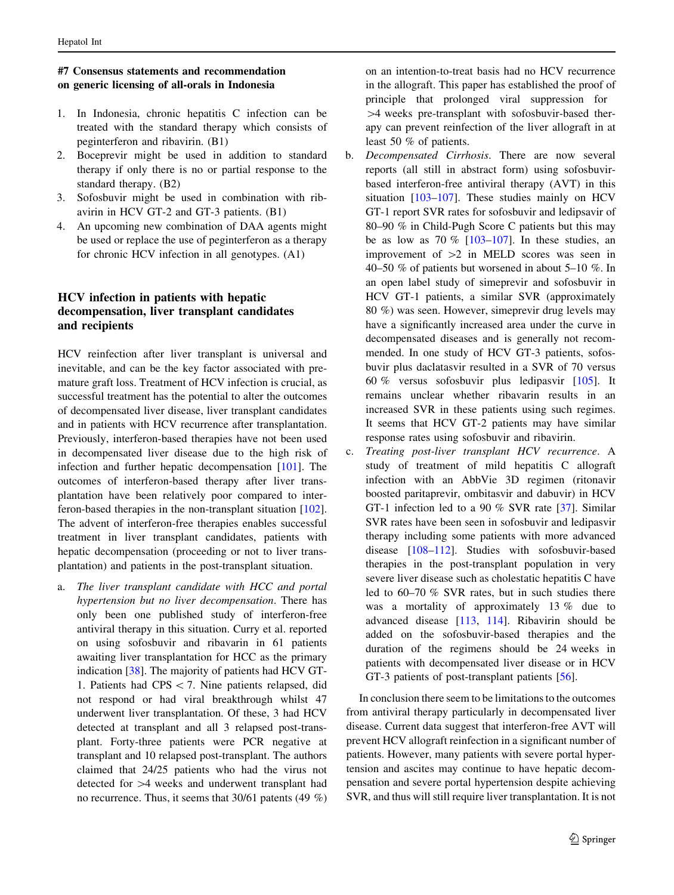### #7 Consensus statements and recommendation on generic licensing of all-orals in Indonesia

- 1. In Indonesia, chronic hepatitis C infection can be treated with the standard therapy which consists of peginterferon and ribavirin. (B1)
- 2. Boceprevir might be used in addition to standard therapy if only there is no or partial response to the standard therapy. (B2)
- 3. Sofosbuvir might be used in combination with ribavirin in HCV GT-2 and GT-3 patients. (B1)
- 4. An upcoming new combination of DAA agents might be used or replace the use of peginterferon as a therapy for chronic HCV infection in all genotypes. (A1)

# HCV infection in patients with hepatic decompensation, liver transplant candidates and recipients

HCV reinfection after liver transplant is universal and inevitable, and can be the key factor associated with premature graft loss. Treatment of HCV infection is crucial, as successful treatment has the potential to alter the outcomes of decompensated liver disease, liver transplant candidates and in patients with HCV recurrence after transplantation. Previously, interferon-based therapies have not been used in decompensated liver disease due to the high risk of infection and further hepatic decompensation [\[101](#page-23-0)]. The outcomes of interferon-based therapy after liver transplantation have been relatively poor compared to interferon-based therapies in the non-transplant situation [\[102](#page-23-0)]. The advent of interferon-free therapies enables successful treatment in liver transplant candidates, patients with hepatic decompensation (proceeding or not to liver transplantation) and patients in the post-transplant situation.

The liver transplant candidate with HCC and portal hypertension but no liver decompensation. There has only been one published study of interferon-free antiviral therapy in this situation. Curry et al. reported on using sofosbuvir and ribavarin in 61 patients awaiting liver transplantation for HCC as the primary indication [\[38](#page-20-0)]. The majority of patients had HCV GT-1. Patients had  $CPS < 7$ . Nine patients relapsed, did not respond or had viral breakthrough whilst 47 underwent liver transplantation. Of these, 3 had HCV detected at transplant and all 3 relapsed post-transplant. Forty-three patients were PCR negative at transplant and 10 relapsed post-transplant. The authors claimed that 24/25 patients who had the virus not detected for  $>4$  weeks and underwent transplant had no recurrence. Thus, it seems that 30/61 patents (49 %) on an intention-to-treat basis had no HCV recurrence in the allograft. This paper has established the proof of principle that prolonged viral suppression for  $>4$  weeks pre-transplant with sofosbuvir-based therapy can prevent reinfection of the liver allograft in at least 50 % of patients.

- b. Decompensated Cirrhosis. There are now several reports (all still in abstract form) using sofosbuvirbased interferon-free antiviral therapy (AVT) in this situation [\[103–107](#page-23-0)]. These studies mainly on HCV GT-1 report SVR rates for sofosbuvir and ledipsavir of 80–90 % in Child-Pugh Score C patients but this may be as low as 70  $\%$  [[103–107\]](#page-23-0). In these studies, an improvement of  $>2$  in MELD scores was seen in 40–50 % of patients but worsened in about 5–10 %. In an open label study of simeprevir and sofosbuvir in HCV GT-1 patients, a similar SVR (approximately 80 %) was seen. However, simeprevir drug levels may have a significantly increased area under the curve in decompensated diseases and is generally not recommended. In one study of HCV GT-3 patients, sofosbuvir plus daclatasvir resulted in a SVR of 70 versus 60 % versus sofosbuvir plus ledipasvir [[105\]](#page-23-0). It remains unclear whether ribavarin results in an increased SVR in these patients using such regimes. It seems that HCV GT-2 patients may have similar response rates using sofosbuvir and ribavirin.
- c. Treating post-liver transplant HCV recurrence. A study of treatment of mild hepatitis C allograft infection with an AbbVie 3D regimen (ritonavir boosted paritaprevir, ombitasvir and dabuvir) in HCV GT-1 infection led to a 90 % SVR rate [\[37](#page-20-0)]. Similar SVR rates have been seen in sofosbuvir and ledipasvir therapy including some patients with more advanced disease [[108–112\]](#page-23-0). Studies with sofosbuvir-based therapies in the post-transplant population in very severe liver disease such as cholestatic hepatitis C have led to 60–70 % SVR rates, but in such studies there was a mortality of approximately 13 % due to advanced disease [\[113](#page-23-0), [114](#page-23-0)]. Ribavirin should be added on the sofosbuvir-based therapies and the duration of the regimens should be 24 weeks in patients with decompensated liver disease or in HCV GT-3 patients of post-transplant patients [[56\]](#page-21-0).

In conclusion there seem to be limitations to the outcomes from antiviral therapy particularly in decompensated liver disease. Current data suggest that interferon-free AVT will prevent HCV allograft reinfection in a significant number of patients. However, many patients with severe portal hypertension and ascites may continue to have hepatic decompensation and severe portal hypertension despite achieving SVR, and thus will still require liver transplantation. It is not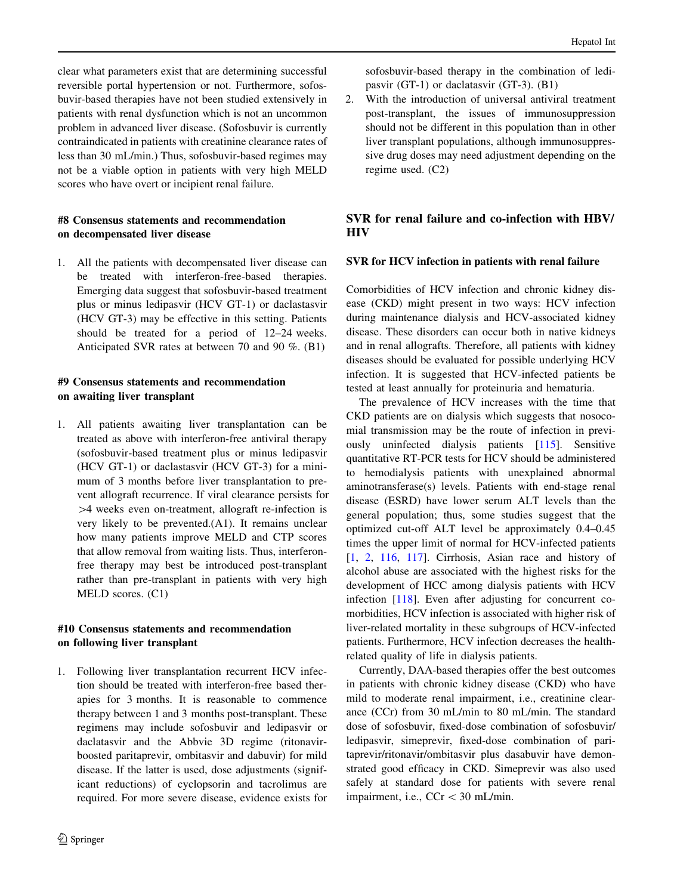clear what parameters exist that are determining successful reversible portal hypertension or not. Furthermore, sofosbuvir-based therapies have not been studied extensively in patients with renal dysfunction which is not an uncommon problem in advanced liver disease. (Sofosbuvir is currently contraindicated in patients with creatinine clearance rates of less than 30 mL/min.) Thus, sofosbuvir-based regimes may not be a viable option in patients with very high MELD scores who have overt or incipient renal failure.

# #8 Consensus statements and recommendation on decompensated liver disease

1. All the patients with decompensated liver disease can be treated with interferon-free-based therapies. Emerging data suggest that sofosbuvir-based treatment plus or minus ledipasvir (HCV GT-1) or daclastasvir (HCV GT-3) may be effective in this setting. Patients should be treated for a period of 12–24 weeks. Anticipated SVR rates at between 70 and 90 %. (B1)

### #9 Consensus statements and recommendation on awaiting liver transplant

1. All patients awaiting liver transplantation can be treated as above with interferon-free antiviral therapy (sofosbuvir-based treatment plus or minus ledipasvir (HCV GT-1) or daclastasvir (HCV GT-3) for a minimum of 3 months before liver transplantation to prevent allograft recurrence. If viral clearance persists for  $>4$  weeks even on-treatment, allograft re-infection is very likely to be prevented.(A1). It remains unclear how many patients improve MELD and CTP scores that allow removal from waiting lists. Thus, interferonfree therapy may best be introduced post-transplant rather than pre-transplant in patients with very high MELD scores. (C1)

### #10 Consensus statements and recommendation on following liver transplant

1. Following liver transplantation recurrent HCV infection should be treated with interferon-free based therapies for 3 months. It is reasonable to commence therapy between 1 and 3 months post-transplant. These regimens may include sofosbuvir and ledipasvir or daclatasvir and the Abbvie 3D regime (ritonavirboosted paritaprevir, ombitasvir and dabuvir) for mild disease. If the latter is used, dose adjustments (significant reductions) of cyclopsorin and tacrolimus are required. For more severe disease, evidence exists for sofosbuvir-based therapy in the combination of ledipasvir (GT-1) or daclatasvir (GT-3). (B1)

2. With the introduction of universal antiviral treatment post-transplant, the issues of immunosuppression should not be different in this population than in other liver transplant populations, although immunosuppressive drug doses may need adjustment depending on the regime used. (C2)

### SVR for renal failure and co-infection with HBV/ **HIV**

### SVR for HCV infection in patients with renal failure

Comorbidities of HCV infection and chronic kidney disease (CKD) might present in two ways: HCV infection during maintenance dialysis and HCV-associated kidney disease. These disorders can occur both in native kidneys and in renal allografts. Therefore, all patients with kidney diseases should be evaluated for possible underlying HCV infection. It is suggested that HCV-infected patients be tested at least annually for proteinuria and hematuria.

The prevalence of HCV increases with the time that CKD patients are on dialysis which suggests that nosocomial transmission may be the route of infection in previously uninfected dialysis patients [\[115](#page-23-0)]. Sensitive quantitative RT-PCR tests for HCV should be administered to hemodialysis patients with unexplained abnormal aminotransferase(s) levels. Patients with end-stage renal disease (ESRD) have lower serum ALT levels than the general population; thus, some studies suggest that the optimized cut-off ALT level be approximately 0.4–0.45 times the upper limit of normal for HCV-infected patients [\[1](#page-19-0), [2,](#page-19-0) [116,](#page-23-0) [117](#page-23-0)]. Cirrhosis, Asian race and history of alcohol abuse are associated with the highest risks for the development of HCC among dialysis patients with HCV infection [\[118](#page-23-0)]. Even after adjusting for concurrent comorbidities, HCV infection is associated with higher risk of liver-related mortality in these subgroups of HCV-infected patients. Furthermore, HCV infection decreases the healthrelated quality of life in dialysis patients.

Currently, DAA-based therapies offer the best outcomes in patients with chronic kidney disease (CKD) who have mild to moderate renal impairment, i.e., creatinine clearance (CCr) from 30 mL/min to 80 mL/min. The standard dose of sofosbuvir, fixed-dose combination of sofosbuvir/ ledipasvir, simeprevir, fixed-dose combination of paritaprevir/ritonavir/ombitasvir plus dasabuvir have demonstrated good efficacy in CKD. Simeprevir was also used safely at standard dose for patients with severe renal impairment, i.e.,  $CCr < 30$  mL/min.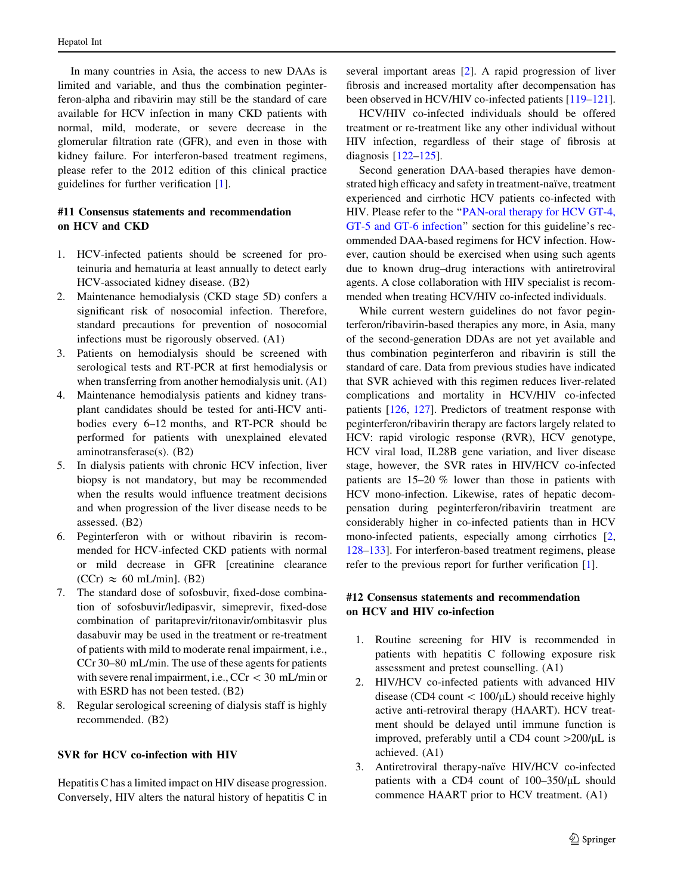In many countries in Asia, the access to new DAAs is limited and variable, and thus the combination peginterferon-alpha and ribavirin may still be the standard of care available for HCV infection in many CKD patients with normal, mild, moderate, or severe decrease in the glomerular filtration rate (GFR), and even in those with kidney failure. For interferon-based treatment regimens, please refer to the 2012 edition of this clinical practice guidelines for further verification [\[1](#page-19-0)].

### #11 Consensus statements and recommendation on HCV and CKD

- 1. HCV-infected patients should be screened for proteinuria and hematuria at least annually to detect early HCV-associated kidney disease. (B2)
- 2. Maintenance hemodialysis (CKD stage 5D) confers a significant risk of nosocomial infection. Therefore, standard precautions for prevention of nosocomial infections must be rigorously observed. (A1)
- 3. Patients on hemodialysis should be screened with serological tests and RT-PCR at first hemodialysis or when transferring from another hemodialysis unit. (A1)
- 4. Maintenance hemodialysis patients and kidney transplant candidates should be tested for anti-HCV antibodies every 6–12 months, and RT-PCR should be performed for patients with unexplained elevated aminotransferase(s). (B2)
- 5. In dialysis patients with chronic HCV infection, liver biopsy is not mandatory, but may be recommended when the results would influence treatment decisions and when progression of the liver disease needs to be assessed. (B2)
- 6. Peginterferon with or without ribavirin is recommended for HCV-infected CKD patients with normal or mild decrease in GFR [creatinine clearance  $(CCr) \approx 60$  mL/min]. (B2)
- 7. The standard dose of sofosbuvir, fixed-dose combination of sofosbuvir/ledipasvir, simeprevir, fixed-dose combination of paritaprevir/ritonavir/ombitasvir plus dasabuvir may be used in the treatment or re-treatment of patients with mild to moderate renal impairment, i.e., CCr 30–80 mL/min. The use of these agents for patients with severe renal impairment, i.e.,  $CCr < 30$  mL/min or with ESRD has not been tested. (B2)
- 8. Regular serological screening of dialysis staff is highly recommended. (B2)

### SVR for HCV co-infection with HIV

Hepatitis C has a limited impact on HIV disease progression. Conversely, HIV alters the natural history of hepatitis C in several important areas [[2\]](#page-19-0). A rapid progression of liver fibrosis and increased mortality after decompensation has been observed in HCV/HIV co-infected patients [\[119–121](#page-23-0)].

HCV/HIV co-infected individuals should be offered treatment or re-treatment like any other individual without HIV infection, regardless of their stage of fibrosis at diagnosis [[122–125](#page-23-0)].

Second generation DAA-based therapies have demonstrated high efficacy and safety in treatment-naïve, treatment experienced and cirrhotic HCV patients co-infected with HIV. Please refer to the ''[PAN-oral therapy for HCV GT-4,](#page-8-0) [GT-5 and GT-6 infection'](#page-8-0)' section for this guideline's recommended DAA-based regimens for HCV infection. However, caution should be exercised when using such agents due to known drug–drug interactions with antiretroviral agents. A close collaboration with HIV specialist is recommended when treating HCV/HIV co-infected individuals.

While current western guidelines do not favor peginterferon/ribavirin-based therapies any more, in Asia, many of the second-generation DDAs are not yet available and thus combination peginterferon and ribavirin is still the standard of care. Data from previous studies have indicated that SVR achieved with this regimen reduces liver-related complications and mortality in HCV/HIV co-infected patients [\[126](#page-23-0), [127](#page-23-0)]. Predictors of treatment response with peginterferon/ribavirin therapy are factors largely related to HCV: rapid virologic response (RVR), HCV genotype, HCV viral load, IL28B gene variation, and liver disease stage, however, the SVR rates in HIV/HCV co-infected patients are 15–20 % lower than those in patients with HCV mono-infection. Likewise, rates of hepatic decompensation during peginterferon/ribavirin treatment are considerably higher in co-infected patients than in HCV mono-infected patients, especially among cirrhotics [[2,](#page-19-0) [128](#page-23-0)[–133](#page-24-0)]. For interferon-based treatment regimens, please refer to the previous report for further verification [[1\]](#page-19-0).

### #12 Consensus statements and recommendation on HCV and HIV co-infection

- 1. Routine screening for HIV is recommended in patients with hepatitis C following exposure risk assessment and pretest counselling. (A1)
- 2. HIV/HCV co-infected patients with advanced HIV disease (CD4 count  $\langle 100/\mu L \rangle$  should receive highly active anti-retroviral therapy (HAART). HCV treatment should be delayed until immune function is improved, preferably until a CD4 count  $>200/\mu L$  is achieved. (A1)
- 3. Antiretroviral therapy-naïve HIV/HCV co-infected patients with a CD4 count of  $100-350/\mu L$  should commence HAART prior to HCV treatment. (A1)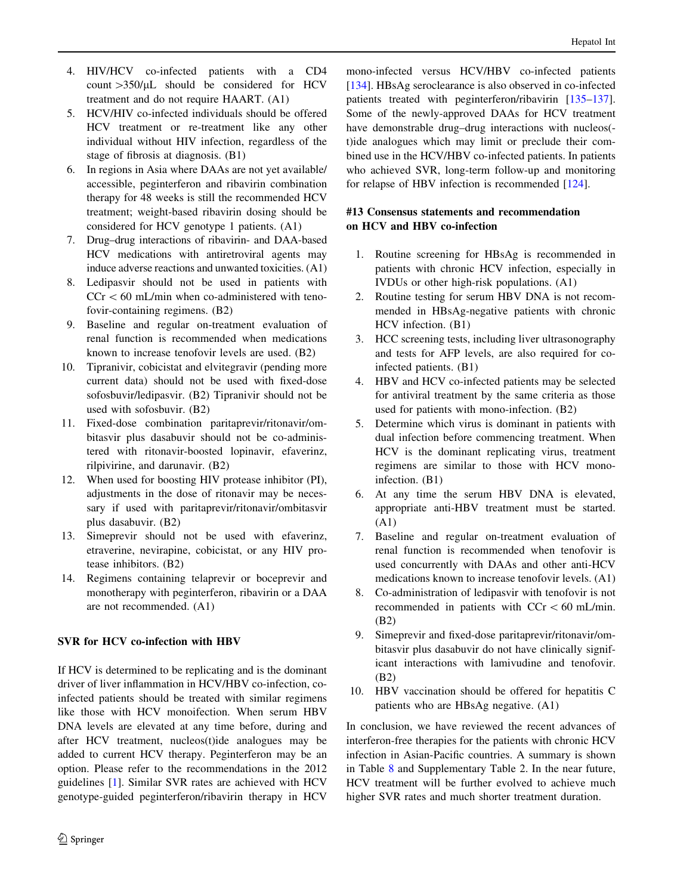- 4. HIV/HCV co-infected patients with a CD4 count  $>350/\mu L$  should be considered for HCV treatment and do not require HAART. (A1)
- 5. HCV/HIV co-infected individuals should be offered HCV treatment or re-treatment like any other individual without HIV infection, regardless of the stage of fibrosis at diagnosis. (B1)
- 6. In regions in Asia where DAAs are not yet available/ accessible, peginterferon and ribavirin combination therapy for 48 weeks is still the recommended HCV treatment; weight-based ribavirin dosing should be considered for HCV genotype 1 patients. (A1)
- 7. Drug–drug interactions of ribavirin- and DAA-based HCV medications with antiretroviral agents may induce adverse reactions and unwanted toxicities. (A1)
- 8. Ledipasvir should not be used in patients with  $CCr < 60$  mL/min when co-administered with tenofovir-containing regimens. (B2)
- 9. Baseline and regular on-treatment evaluation of renal function is recommended when medications known to increase tenofovir levels are used. (B2)
- 10. Tipranivir, cobicistat and elvitegravir (pending more current data) should not be used with fixed-dose sofosbuvir/ledipasvir. (B2) Tipranivir should not be used with sofosbuvir. (B2)
- 11. Fixed-dose combination paritaprevir/ritonavir/ombitasvir plus dasabuvir should not be co-administered with ritonavir-boosted lopinavir, efaverinz, rilpivirine, and darunavir. (B2)
- 12. When used for boosting HIV protease inhibitor (PI), adjustments in the dose of ritonavir may be necessary if used with paritaprevir/ritonavir/ombitasvir plus dasabuvir. (B2)
- 13. Simeprevir should not be used with efaverinz, etraverine, nevirapine, cobicistat, or any HIV protease inhibitors. (B2)
- 14. Regimens containing telaprevir or boceprevir and monotherapy with peginterferon, ribavirin or a DAA are not recommended. (A1)

# SVR for HCV co-infection with HBV

If HCV is determined to be replicating and is the dominant driver of liver inflammation in HCV/HBV co-infection, coinfected patients should be treated with similar regimens like those with HCV monoifection. When serum HBV DNA levels are elevated at any time before, during and after HCV treatment, nucleos(t)ide analogues may be added to current HCV therapy. Peginterferon may be an option. Please refer to the recommendations in the 2012 guidelines [\[1](#page-19-0)]. Similar SVR rates are achieved with HCV genotype-guided peginterferon/ribavirin therapy in HCV

mono-infected versus HCV/HBV co-infected patients [\[134](#page-24-0)]. HBsAg seroclearance is also observed in co-infected patients treated with peginterferon/ribavirin [\[135–137](#page-24-0)]. Some of the newly-approved DAAs for HCV treatment have demonstrable drug–drug interactions with nucleos( t)ide analogues which may limit or preclude their combined use in the HCV/HBV co-infected patients. In patients who achieved SVR, long-term follow-up and monitoring for relapse of HBV infection is recommended [\[124](#page-23-0)].

## #13 Consensus statements and recommendation on HCV and HBV co-infection

- 1. Routine screening for HBsAg is recommended in patients with chronic HCV infection, especially in IVDUs or other high-risk populations. (A1)
- 2. Routine testing for serum HBV DNA is not recommended in HBsAg-negative patients with chronic HCV infection. (B1)
- 3. HCC screening tests, including liver ultrasonography and tests for AFP levels, are also required for coinfected patients. (B1)
- 4. HBV and HCV co-infected patients may be selected for antiviral treatment by the same criteria as those used for patients with mono-infection. (B2)
- 5. Determine which virus is dominant in patients with dual infection before commencing treatment. When HCV is the dominant replicating virus, treatment regimens are similar to those with HCV monoinfection. (B1)
- 6. At any time the serum HBV DNA is elevated, appropriate anti-HBV treatment must be started. (A1)
- 7. Baseline and regular on-treatment evaluation of renal function is recommended when tenofovir is used concurrently with DAAs and other anti-HCV medications known to increase tenofovir levels. (A1)
- 8. Co-administration of ledipasvir with tenofovir is not recommended in patients with  $CCr < 60$  mL/min. (B2)
- 9. Simeprevir and fixed-dose paritaprevir/ritonavir/ombitasvir plus dasabuvir do not have clinically significant interactions with lamivudine and tenofovir. (B2)
- 10. HBV vaccination should be offered for hepatitis C patients who are HBsAg negative. (A1)

In conclusion, we have reviewed the recent advances of interferon-free therapies for the patients with chronic HCV infection in Asian-Pacific countries. A summary is shown in Table [8](#page-18-0) and Supplementary Table 2. In the near future, HCV treatment will be further evolved to achieve much higher SVR rates and much shorter treatment duration.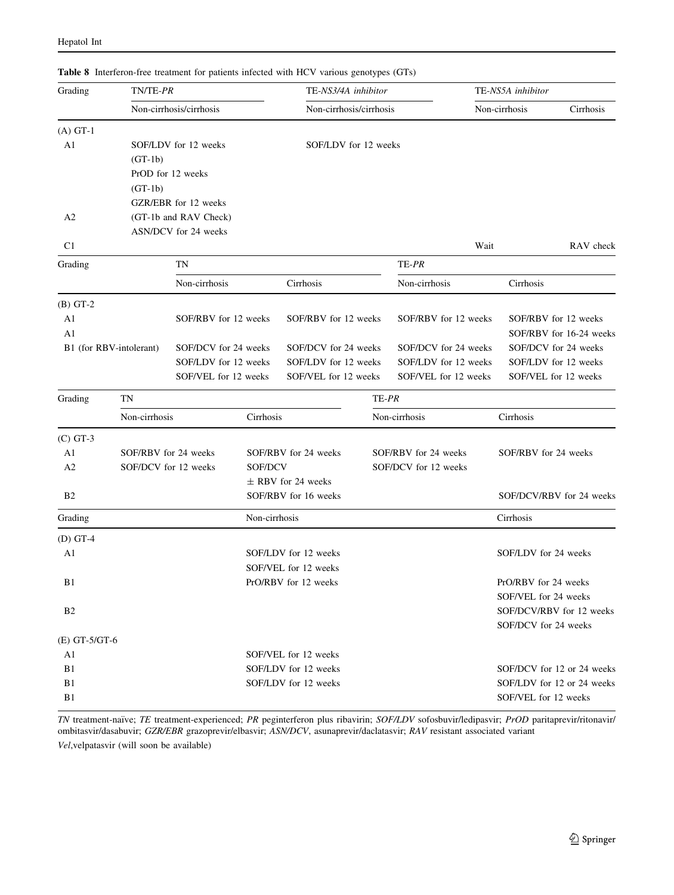| Grading                 | TN/TE-PR<br>Non-cirrhosis/cirrhosis                    |                       |               | TE-NS3/4A inhibitor<br>Non-cirrhosis/cirrhosis |       |                      | TE-NS5A inhibitor    |                            |  |
|-------------------------|--------------------------------------------------------|-----------------------|---------------|------------------------------------------------|-------|----------------------|----------------------|----------------------------|--|
|                         |                                                        |                       |               |                                                |       |                      | Non-cirrhosis        | Cirrhosis                  |  |
| $(A)$ GT-1              |                                                        |                       |               |                                                |       |                      |                      |                            |  |
| A <sub>1</sub>          | SOF/LDV for 12 weeks<br>$(GT-1b)$<br>PrOD for 12 weeks |                       |               | SOF/LDV for 12 weeks                           |       |                      |                      |                            |  |
|                         |                                                        |                       |               |                                                |       |                      |                      |                            |  |
|                         |                                                        |                       |               |                                                |       |                      |                      |                            |  |
|                         | $(GT-1b)$                                              |                       |               |                                                |       |                      |                      |                            |  |
|                         |                                                        | GZR/EBR for 12 weeks  |               |                                                |       |                      |                      |                            |  |
| A <sub>2</sub>          |                                                        | (GT-1b and RAV Check) |               |                                                |       |                      |                      |                            |  |
|                         |                                                        | ASN/DCV for 24 weeks  |               |                                                |       |                      |                      |                            |  |
| C <sub>1</sub>          |                                                        |                       |               |                                                |       | Wait                 |                      | RAV check                  |  |
| Grading                 |                                                        | TN                    |               |                                                |       | TE-PR                |                      |                            |  |
|                         |                                                        | Non-cirrhosis         |               | Cirrhosis                                      |       | Non-cirrhosis        | Cirrhosis            |                            |  |
| $(B)$ GT-2              |                                                        |                       |               |                                                |       |                      |                      |                            |  |
| A1                      |                                                        | SOF/RBV for 12 weeks  |               | SOF/RBV for 12 weeks                           |       | SOF/RBV for 12 weeks |                      | SOF/RBV for 12 weeks       |  |
| A <sub>1</sub>          |                                                        |                       |               |                                                |       |                      |                      | SOF/RBV for 16-24 weeks    |  |
| B1 (for RBV-intolerant) |                                                        | SOF/DCV for 24 weeks  |               | SOF/DCV for 24 weeks                           |       | SOF/DCV for 24 weeks |                      | SOF/DCV for 24 weeks       |  |
|                         |                                                        | SOF/LDV for 12 weeks  |               | SOF/LDV for 12 weeks                           |       | SOF/LDV for 12 weeks |                      | SOF/LDV for 12 weeks       |  |
|                         |                                                        | SOF/VEL for 12 weeks  |               | SOF/VEL for 12 weeks                           |       | SOF/VEL for 12 weeks |                      | SOF/VEL for 12 weeks       |  |
| Grading                 | TN                                                     |                       |               |                                                | TE-PR |                      |                      |                            |  |
|                         | Non-cirrhosis                                          |                       | Cirrhosis     |                                                |       | Non-cirrhosis        | Cirrhosis            |                            |  |
| $(C)$ GT-3              |                                                        |                       |               |                                                |       |                      |                      |                            |  |
| A <sub>1</sub>          |                                                        | SOF/RBV for 24 weeks  |               | SOF/RBV for 24 weeks                           |       | SOF/RBV for 24 weeks | SOF/RBV for 24 weeks |                            |  |
| A2                      |                                                        | SOF/DCV for 12 weeks  | SOF/DCV       |                                                |       | SOF/DCV for 12 weeks |                      |                            |  |
|                         |                                                        |                       |               | $\pm$ RBV for 24 weeks                         |       |                      |                      |                            |  |
| B <sub>2</sub>          |                                                        |                       |               | SOF/RBV for 16 weeks                           |       |                      |                      | SOF/DCV/RBV for 24 weeks   |  |
| Grading                 |                                                        |                       | Non-cirrhosis |                                                |       |                      | Cirrhosis            |                            |  |
| $(D)$ GT-4              |                                                        |                       |               |                                                |       |                      |                      |                            |  |
| A <sub>1</sub>          |                                                        |                       |               | SOF/LDV for 12 weeks                           |       |                      | SOF/LDV for 24 weeks |                            |  |
|                         |                                                        |                       |               | SOF/VEL for 12 weeks                           |       |                      |                      |                            |  |
| B1                      |                                                        |                       |               | PrO/RBV for 12 weeks                           |       |                      | PrO/RBV for 24 weeks |                            |  |
|                         |                                                        |                       |               |                                                |       |                      | SOF/VEL for 24 weeks |                            |  |
| B <sub>2</sub>          |                                                        |                       |               |                                                |       |                      |                      | SOF/DCV/RBV for 12 weeks   |  |
|                         |                                                        |                       |               |                                                |       |                      | SOF/DCV for 24 weeks |                            |  |
| $(E)$ GT-5/GT-6         |                                                        |                       |               |                                                |       |                      |                      |                            |  |
| A1                      |                                                        |                       |               | SOF/VEL for 12 weeks                           |       |                      |                      |                            |  |
| B1                      |                                                        |                       |               | SOF/LDV for 12 weeks                           |       |                      |                      | SOF/DCV for 12 or 24 weeks |  |
| B1                      |                                                        |                       |               | SOF/LDV for 12 weeks                           |       |                      |                      | SOF/LDV for 12 or 24 weeks |  |
| B1                      |                                                        |                       |               |                                                |       |                      | SOF/VEL for 12 weeks |                            |  |

<span id="page-18-0"></span>Table 8 Interferon-free treatment for patients infected with HCV various genotypes (GTs)

TN treatment-naïve; TE treatment-experienced; PR peginterferon plus ribavirin; SOF/LDV sofosbuvir/ledipasvir; PrOD paritaprevir/ritonavir/ ombitasvir/dasabuvir; GZR/EBR grazoprevir/elbasvir; ASN/DCV, asunaprevir/daclatasvir; RAV resistant associated variant Vel,velpatasvir (will soon be available)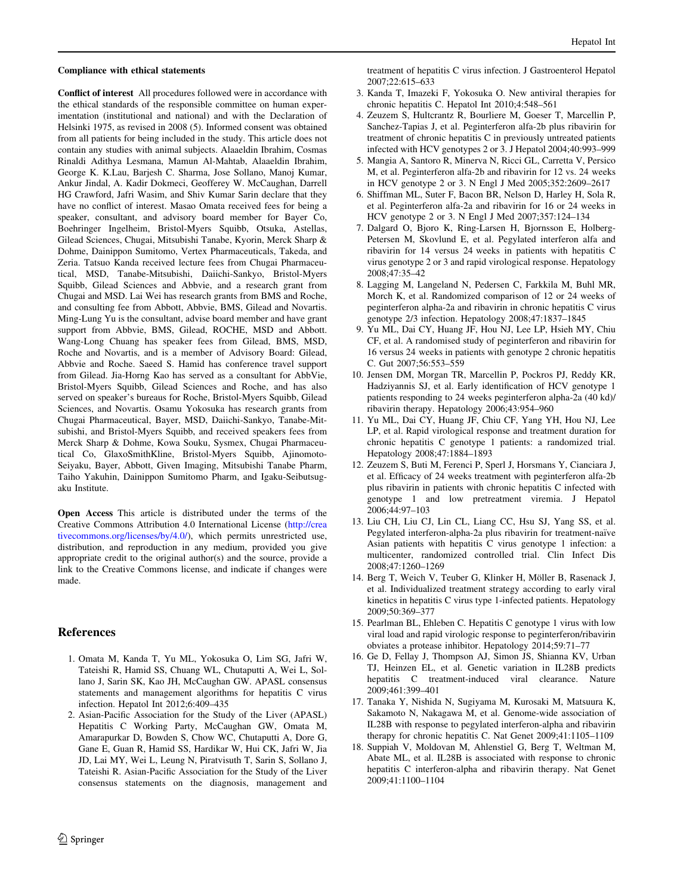#### <span id="page-19-0"></span>Compliance with ethical statements

Conflict of interest All procedures followed were in accordance with the ethical standards of the responsible committee on human experimentation (institutional and national) and with the Declaration of Helsinki 1975, as revised in 2008 (5). Informed consent was obtained from all patients for being included in the study. This article does not contain any studies with animal subjects. Alaaeldin Ibrahim, Cosmas Rinaldi Adithya Lesmana, Mamun Al-Mahtab, Alaaeldin Ibrahim, George K. K.Lau, Barjesh C. Sharma, Jose Sollano, Manoj Kumar, Ankur Jindal, A. Kadir Dokmeci, Geofferey W. McCaughan, Darrell HG Crawford, Jafri Wasim, and Shiv Kumar Sarin declare that they have no conflict of interest. Masao Omata received fees for being a speaker, consultant, and advisory board member for Bayer Co, Boehringer Ingelheim, Bristol-Myers Squibb, Otsuka, Astellas, Gilead Sciences, Chugai, Mitsubishi Tanabe, Kyorin, Merck Sharp & Dohme, Dainippon Sumitomo, Vertex Pharmaceuticals, Takeda, and Zeria. Tatsuo Kanda received lecture fees from Chugai Pharmaceutical, MSD, Tanabe-Mitsubishi, Daiichi-Sankyo, Bristol-Myers Squibb, Gilead Sciences and Abbvie, and a research grant from Chugai and MSD. Lai Wei has research grants from BMS and Roche, and consulting fee from Abbott, Abbvie, BMS, Gilead and Novartis. Ming-Lung Yu is the consultant, advise board member and have grant support from Abbvie, BMS, Gilead, ROCHE, MSD and Abbott. Wang-Long Chuang has speaker fees from Gilead, BMS, MSD, Roche and Novartis, and is a member of Advisory Board: Gilead, Abbvie and Roche. Saeed S. Hamid has conference travel support from Gilead. Jia-Horng Kao has served as a consultant for AbbVie, Bristol-Myers Squibb, Gilead Sciences and Roche, and has also served on speaker's bureaus for Roche, Bristol-Myers Squibb, Gilead Sciences, and Novartis. Osamu Yokosuka has research grants from Chugai Pharmaceutical, Bayer, MSD, Daiichi-Sankyo, Tanabe-Mitsubishi, and Bristol-Myers Squibb, and received speakers fees from Merck Sharp & Dohme, Kowa Souku, Sysmex, Chugai Pharmaceutical Co, GlaxoSmithKline, Bristol-Myers Squibb, Ajinomoto-Seiyaku, Bayer, Abbott, Given Imaging, Mitsubishi Tanabe Pharm, Taiho Yakuhin, Dainippon Sumitomo Pharm, and Igaku-Seibutsugaku Institute.

Open Access This article is distributed under the terms of the Creative Commons Attribution 4.0 International License ([http://crea](http://creativecommons.org/licenses/by/4.0/) [tivecommons.org/licenses/by/4.0/\)](http://creativecommons.org/licenses/by/4.0/), which permits unrestricted use, distribution, and reproduction in any medium, provided you give appropriate credit to the original author(s) and the source, provide a link to the Creative Commons license, and indicate if changes were made.

#### References

- 1. Omata M, Kanda T, Yu ML, Yokosuka O, Lim SG, Jafri W, Tateishi R, Hamid SS, Chuang WL, Chutaputti A, Wei L, Sollano J, Sarin SK, Kao JH, McCaughan GW. APASL consensus statements and management algorithms for hepatitis C virus infection. Hepatol Int 2012;6:409–435
- 2. Asian-Pacific Association for the Study of the Liver (APASL) Hepatitis C Working Party, McCaughan GW, Omata M, Amarapurkar D, Bowden S, Chow WC, Chutaputti A, Dore G, Gane E, Guan R, Hamid SS, Hardikar W, Hui CK, Jafri W, Jia JD, Lai MY, Wei L, Leung N, Piratvisuth T, Sarin S, Sollano J, Tateishi R. Asian-Pacific Association for the Study of the Liver consensus statements on the diagnosis, management and

treatment of hepatitis C virus infection. J Gastroenterol Hepatol 2007;22:615–633

- 3. Kanda T, Imazeki F, Yokosuka O. New antiviral therapies for chronic hepatitis C. Hepatol Int 2010;4:548–561
- 4. Zeuzem S, Hultcrantz R, Bourliere M, Goeser T, Marcellin P, Sanchez-Tapias J, et al. Peginterferon alfa-2b plus ribavirin for treatment of chronic hepatitis C in previously untreated patients infected with HCV genotypes 2 or 3. J Hepatol 2004;40:993–999
- 5. Mangia A, Santoro R, Minerva N, Ricci GL, Carretta V, Persico M, et al. Peginterferon alfa-2b and ribavirin for 12 vs. 24 weeks in HCV genotype 2 or 3. N Engl J Med 2005;352:2609–2617
- 6. Shiffman ML, Suter F, Bacon BR, Nelson D, Harley H, Sola R, et al. Peginterferon alfa-2a and ribavirin for 16 or 24 weeks in HCV genotype 2 or 3. N Engl J Med 2007;357:124–134
- 7. Dalgard O, Bjoro K, Ring-Larsen H, Bjornsson E, Holberg-Petersen M, Skovlund E, et al. Pegylated interferon alfa and ribavirin for 14 versus 24 weeks in patients with hepatitis C virus genotype 2 or 3 and rapid virological response. Hepatology 2008;47:35–42
- 8. Lagging M, Langeland N, Pedersen C, Farkkila M, Buhl MR, Morch K, et al. Randomized comparison of 12 or 24 weeks of peginterferon alpha-2a and ribavirin in chronic hepatitis C virus genotype 2/3 infection. Hepatology 2008;47:1837–1845
- 9. Yu ML, Dai CY, Huang JF, Hou NJ, Lee LP, Hsieh MY, Chiu CF, et al. A randomised study of peginterferon and ribavirin for 16 versus 24 weeks in patients with genotype 2 chronic hepatitis C. Gut 2007;56:553–559
- 10. Jensen DM, Morgan TR, Marcellin P, Pockros PJ, Reddy KR, Hadziyannis SJ, et al. Early identification of HCV genotype 1 patients responding to 24 weeks peginterferon alpha-2a (40 kd)/ ribavirin therapy. Hepatology 2006;43:954–960
- 11. Yu ML, Dai CY, Huang JF, Chiu CF, Yang YH, Hou NJ, Lee LP, et al. Rapid virological response and treatment duration for chronic hepatitis C genotype 1 patients: a randomized trial. Hepatology 2008;47:1884–1893
- 12. Zeuzem S, Buti M, Ferenci P, Sperl J, Horsmans Y, Cianciara J, et al. Efficacy of 24 weeks treatment with peginterferon alfa-2b plus ribavirin in patients with chronic hepatitis C infected with genotype 1 and low pretreatment viremia. J Hepatol 2006;44:97–103
- 13. Liu CH, Liu CJ, Lin CL, Liang CC, Hsu SJ, Yang SS, et al. Pegylated interferon-alpha-2a plus ribavirin for treatment-naïve Asian patients with hepatitis C virus genotype 1 infection: a multicenter, randomized controlled trial. Clin Infect Dis 2008;47:1260–1269
- 14. Berg T, Weich V, Teuber G, Klinker H, Möller B, Rasenack J, et al. Individualized treatment strategy according to early viral kinetics in hepatitis C virus type 1-infected patients. Hepatology 2009;50:369–377
- 15. Pearlman BL, Ehleben C. Hepatitis C genotype 1 virus with low viral load and rapid virologic response to peginterferon/ribavirin obviates a protease inhibitor. Hepatology 2014;59:71–77
- 16. Ge D, Fellay J, Thompson AJ, Simon JS, Shianna KV, Urban TJ, Heinzen EL, et al. Genetic variation in IL28B predicts hepatitis C treatment-induced viral clearance. Nature 2009;461:399–401
- 17. Tanaka Y, Nishida N, Sugiyama M, Kurosaki M, Matsuura K, Sakamoto N, Nakagawa M, et al. Genome-wide association of IL28B with response to pegylated interferon-alpha and ribavirin therapy for chronic hepatitis C. Nat Genet 2009;41:1105–1109
- 18. Suppiah V, Moldovan M, Ahlenstiel G, Berg T, Weltman M, Abate ML, et al. IL28B is associated with response to chronic hepatitis C interferon-alpha and ribavirin therapy. Nat Genet 2009;41:1100–1104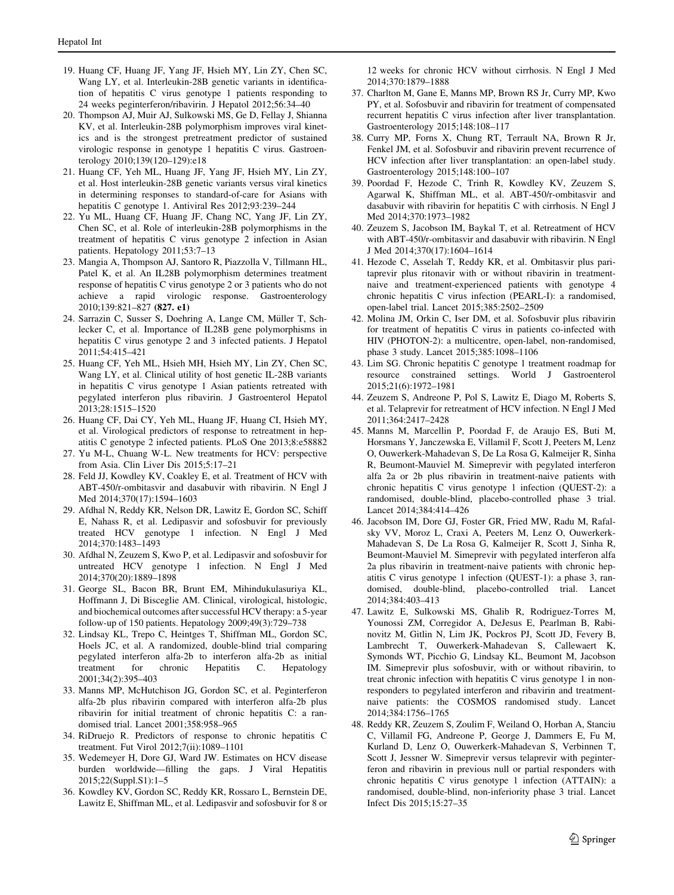- <span id="page-20-0"></span>19. Huang CF, Huang JF, Yang JF, Hsieh MY, Lin ZY, Chen SC, Wang LY, et al. Interleukin-28B genetic variants in identification of hepatitis C virus genotype 1 patients responding to 24 weeks peginterferon/ribavirin. J Hepatol 2012;56:34–40
- 20. Thompson AJ, Muir AJ, Sulkowski MS, Ge D, Fellay J, Shianna KV, et al. Interleukin-28B polymorphism improves viral kinetics and is the strongest pretreatment predictor of sustained virologic response in genotype 1 hepatitis C virus. Gastroenterology 2010;139(120–129):e18
- 21. Huang CF, Yeh ML, Huang JF, Yang JF, Hsieh MY, Lin ZY, et al. Host interleukin-28B genetic variants versus viral kinetics in determining responses to standard-of-care for Asians with hepatitis C genotype 1. Antiviral Res 2012;93:239–244
- 22. Yu ML, Huang CF, Huang JF, Chang NC, Yang JF, Lin ZY, Chen SC, et al. Role of interleukin-28B polymorphisms in the treatment of hepatitis C virus genotype 2 infection in Asian patients. Hepatology 2011;53:7–13
- 23. Mangia A, Thompson AJ, Santoro R, Piazzolla V, Tillmann HL, Patel K, et al. An IL28B polymorphism determines treatment response of hepatitis C virus genotype 2 or 3 patients who do not achieve a rapid virologic response. Gastroenterology 2010;139:821–827 (827. e1)
- 24. Sarrazin C, Susser S, Doehring A, Lange CM, Müller T, Schlecker C, et al. Importance of IL28B gene polymorphisms in hepatitis C virus genotype 2 and 3 infected patients. J Hepatol 2011;54:415–421
- 25. Huang CF, Yeh ML, Hsieh MH, Hsieh MY, Lin ZY, Chen SC, Wang LY, et al. Clinical utility of host genetic IL-28B variants in hepatitis C virus genotype 1 Asian patients retreated with pegylated interferon plus ribavirin. J Gastroenterol Hepatol 2013;28:1515–1520
- 26. Huang CF, Dai CY, Yeh ML, Huang JF, Huang CI, Hsieh MY, et al. Virological predictors of response to retreatment in hepatitis C genotype 2 infected patients. PLoS One 2013;8:e58882
- 27. Yu M-L, Chuang W-L. New treatments for HCV: perspective from Asia. Clin Liver Dis 2015;5:17–21
- 28. Feld JJ, Kowdley KV, Coakley E, et al. Treatment of HCV with ABT-450/r-ombitasvir and dasabuvir with ribavirin. N Engl J Med 2014;370(17):1594–1603
- 29. Afdhal N, Reddy KR, Nelson DR, Lawitz E, Gordon SC, Schiff E, Nahass R, et al. Ledipasvir and sofosbuvir for previously treated HCV genotype 1 infection. N Engl J Med 2014;370:1483–1493
- 30. Afdhal N, Zeuzem S, Kwo P, et al. Ledipasvir and sofosbuvir for untreated HCV genotype 1 infection. N Engl J Med 2014;370(20):1889–1898
- 31. George SL, Bacon BR, Brunt EM, Mihindukulasuriya KL, Hoffmann J, Di Bisceglie AM. Clinical, virological, histologic, and biochemical outcomes after successful HCV therapy: a 5-year follow-up of 150 patients. Hepatology 2009;49(3):729–738
- 32. Lindsay KL, Trepo C, Heintges T, Shiffman ML, Gordon SC, Hoels JC, et al. A randomized, double-blind trial comparing pegylated interferon alfa-2b to interferon alfa-2b as initial treatment for chronic Hepatitis C. Hepatology 2001;34(2):395–403
- 33. Manns MP, McHutchison JG, Gordon SC, et al. Peginterferon alfa-2b plus ribavirin compared with interferon alfa-2b plus ribavirin for initial treatment of chronic hepatitis C: a randomised trial. Lancet 2001;358:958–965
- 34. RiDruejo R. Predictors of response to chronic hepatitis C treatment. Fut Virol 2012;7(ii):1089–1101
- 35. Wedemeyer H, Dore GJ, Ward JW. Estimates on HCV disease burden worldwide—filling the gaps. J Viral Hepatitis 2015;22(Suppl.S1):1–5
- 36. Kowdley KV, Gordon SC, Reddy KR, Rossaro L, Bernstein DE, Lawitz E, Shiffman ML, et al. Ledipasvir and sofosbuvir for 8 or

12 weeks for chronic HCV without cirrhosis. N Engl J Med 2014;370:1879–1888

- 37. Charlton M, Gane E, Manns MP, Brown RS Jr, Curry MP, Kwo PY, et al. Sofosbuvir and ribavirin for treatment of compensated recurrent hepatitis C virus infection after liver transplantation. Gastroenterology 2015;148:108–117
- 38. Curry MP, Forns X, Chung RT, Terrault NA, Brown R Jr, Fenkel JM, et al. Sofosbuvir and ribavirin prevent recurrence of HCV infection after liver transplantation: an open-label study. Gastroenterology 2015;148:100–107
- 39. Poordad F, Hezode C, Trinh R, Kowdley KV, Zeuzem S, Agarwal K, Shiffman ML, et al. ABT-450/r-ombitasvir and dasabuvir with ribavirin for hepatitis C with cirrhosis. N Engl J Med 2014;370:1973–1982
- 40. Zeuzem S, Jacobson IM, Baykal T, et al. Retreatment of HCV with ABT-450/r-ombitasvir and dasabuvir with ribavirin. N Engl J Med 2014;370(17):1604–1614
- 41. Hezode C, Asselah T, Reddy KR, et al. Ombitasvir plus paritaprevir plus ritonavir with or without ribavirin in treatmentnaive and treatment-experienced patients with genotype 4 chronic hepatitis C virus infection (PEARL-I): a randomised, open-label trial. Lancet 2015;385:2502–2509
- 42. Molina JM, Orkin C, Iser DM, et al. Sofosbuvir plus ribavirin for treatment of hepatitis C virus in patients co-infected with HIV (PHOTON-2): a multicentre, open-label, non-randomised, phase 3 study. Lancet 2015;385:1098–1106
- 43. Lim SG. Chronic hepatitis C genotype 1 treatment roadmap for resource constrained settings. World J Gastroenterol 2015;21(6):1972–1981
- 44. Zeuzem S, Andreone P, Pol S, Lawitz E, Diago M, Roberts S, et al. Telaprevir for retreatment of HCV infection. N Engl J Med 2011;364:2417–2428
- 45. Manns M, Marcellin P, Poordad F, de Araujo ES, Buti M, Horsmans Y, Janczewska E, Villamil F, Scott J, Peeters M, Lenz O, Ouwerkerk-Mahadevan S, De La Rosa G, Kalmeijer R, Sinha R, Beumont-Mauviel M. Simeprevir with pegylated interferon alfa 2a or 2b plus ribavirin in treatment-naive patients with chronic hepatitis C virus genotype 1 infection (QUEST-2): a randomised, double-blind, placebo-controlled phase 3 trial. Lancet 2014;384:414–426
- 46. Jacobson IM, Dore GJ, Foster GR, Fried MW, Radu M, Rafalsky VV, Moroz L, Craxi A, Peeters M, Lenz O, Ouwerkerk-Mahadevan S, De La Rosa G, Kalmeijer R, Scott J, Sinha R, Beumont-Mauviel M. Simeprevir with pegylated interferon alfa 2a plus ribavirin in treatment-naive patients with chronic hepatitis C virus genotype 1 infection (QUEST-1): a phase 3, randomised, double-blind, placebo-controlled trial. Lancet 2014;384:403–413
- 47. Lawitz E, Sulkowski MS, Ghalib R, Rodriguez-Torres M, Younossi ZM, Corregidor A, DeJesus E, Pearlman B, Rabinovitz M, Gitlin N, Lim JK, Pockros PJ, Scott JD, Fevery B, Lambrecht T, Ouwerkerk-Mahadevan S, Callewaert K, Symonds WT, Picchio G, Lindsay KL, Beumont M, Jacobson IM. Simeprevir plus sofosbuvir, with or without ribavirin, to treat chronic infection with hepatitis C virus genotype 1 in nonresponders to pegylated interferon and ribavirin and treatmentnaive patients: the COSMOS randomised study. Lancet 2014;384:1756–1765
- 48. Reddy KR, Zeuzem S, Zoulim F, Weiland O, Horban A, Stanciu C, Villamil FG, Andreone P, George J, Dammers E, Fu M, Kurland D, Lenz O, Ouwerkerk-Mahadevan S, Verbinnen T, Scott J, Jessner W. Simeprevir versus telaprevir with peginterferon and ribavirin in previous null or partial responders with chronic hepatitis C virus genotype 1 infection (ATTAIN): a randomised, double-blind, non-inferiority phase 3 trial. Lancet Infect Dis 2015;15:27–35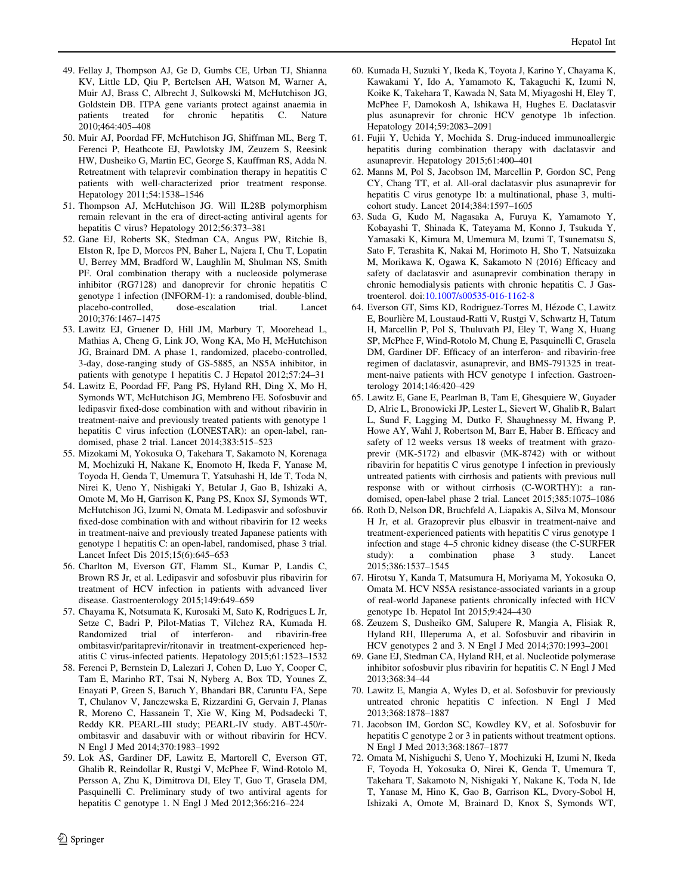- <span id="page-21-0"></span>49. Fellay J, Thompson AJ, Ge D, Gumbs CE, Urban TJ, Shianna KV, Little LD, Qiu P, Bertelsen AH, Watson M, Warner A, Muir AJ, Brass C, Albrecht J, Sulkowski M, McHutchison JG, Goldstein DB. ITPA gene variants protect against anaemia in patients treated for chronic hepatitis C. Nature 2010;464:405–408
- 50. Muir AJ, Poordad FF, McHutchison JG, Shiffman ML, Berg T, Ferenci P, Heathcote EJ, Pawlotsky JM, Zeuzem S, Reesink HW, Dusheiko G, Martin EC, George S, Kauffman RS, Adda N. Retreatment with telaprevir combination therapy in hepatitis C patients with well-characterized prior treatment response. Hepatology 2011;54:1538–1546
- 51. Thompson AJ, McHutchison JG. Will IL28B polymorphism remain relevant in the era of direct-acting antiviral agents for hepatitis C virus? Hepatology 2012;56:373–381
- 52. Gane EJ, Roberts SK, Stedman CA, Angus PW, Ritchie B, Elston R, Ipe D, Morcos PN, Baher L, Najera I, Chu T, Lopatin U, Berrey MM, Bradford W, Laughlin M, Shulman NS, Smith PF. Oral combination therapy with a nucleoside polymerase inhibitor (RG7128) and danoprevir for chronic hepatitis C genotype 1 infection (INFORM-1): a randomised, double-blind, placebo-controlled, dose-escalation trial. Lancet 2010;376:1467–1475
- 53. Lawitz EJ, Gruener D, Hill JM, Marbury T, Moorehead L, Mathias A, Cheng G, Link JO, Wong KA, Mo H, McHutchison JG, Brainard DM. A phase 1, randomized, placebo-controlled, 3-day, dose-ranging study of GS-5885, an NS5A inhibitor, in patients with genotype 1 hepatitis C. J Hepatol 2012;57:24–31
- 54. Lawitz E, Poordad FF, Pang PS, Hyland RH, Ding X, Mo H, Symonds WT, McHutchison JG, Membreno FE. Sofosbuvir and ledipasvir fixed-dose combination with and without ribavirin in treatment-naive and previously treated patients with genotype 1 hepatitis C virus infection (LONESTAR): an open-label, randomised, phase 2 trial. Lancet 2014;383:515–523
- 55. Mizokami M, Yokosuka O, Takehara T, Sakamoto N, Korenaga M, Mochizuki H, Nakane K, Enomoto H, Ikeda F, Yanase M, Toyoda H, Genda T, Umemura T, Yatsuhashi H, Ide T, Toda N, Nirei K, Ueno Y, Nishigaki Y, Betular J, Gao B, Ishizaki A, Omote M, Mo H, Garrison K, Pang PS, Knox SJ, Symonds WT, McHutchison JG, Izumi N, Omata M. Ledipasvir and sofosbuvir fixed-dose combination with and without ribavirin for 12 weeks in treatment-naive and previously treated Japanese patients with genotype 1 hepatitis C: an open-label, randomised, phase 3 trial. Lancet Infect Dis 2015;15(6):645–653
- 56. Charlton M, Everson GT, Flamm SL, Kumar P, Landis C, Brown RS Jr, et al. Ledipasvir and sofosbuvir plus ribavirin for treatment of HCV infection in patients with advanced liver disease. Gastroenterology 2015;149:649–659
- 57. Chayama K, Notsumata K, Kurosaki M, Sato K, Rodrigues L Jr, Setze C, Badri P, Pilot-Matias T, Vilchez RA, Kumada H. Randomized trial of interferon- and ribavirin-free ombitasvir/paritaprevir/ritonavir in treatment-experienced hepatitis C virus-infected patients. Hepatology 2015;61:1523–1532
- 58. Ferenci P, Bernstein D, Lalezari J, Cohen D, Luo Y, Cooper C, Tam E, Marinho RT, Tsai N, Nyberg A, Box TD, Younes Z, Enayati P, Green S, Baruch Y, Bhandari BR, Caruntu FA, Sepe T, Chulanov V, Janczewska E, Rizzardini G, Gervain J, Planas R, Moreno C, Hassanein T, Xie W, King M, Podsadecki T, Reddy KR. PEARL-III study; PEARL-IV study. ABT-450/rombitasvir and dasabuvir with or without ribavirin for HCV. N Engl J Med 2014;370:1983–1992
- 59. Lok AS, Gardiner DF, Lawitz E, Martorell C, Everson GT, Ghalib R, Reindollar R, Rustgi V, McPhee F, Wind-Rotolo M, Persson A, Zhu K, Dimitrova DI, Eley T, Guo T, Grasela DM, Pasquinelli C. Preliminary study of two antiviral agents for hepatitis C genotype 1. N Engl J Med 2012;366:216–224
- 61. Fujii Y, Uchida Y, Mochida S. Drug-induced immunoallergic hepatitis during combination therapy with daclatasvir and asunaprevir. Hepatology 2015;61:400–401
- 62. Manns M, Pol S, Jacobson IM, Marcellin P, Gordon SC, Peng CY, Chang TT, et al. All-oral daclatasvir plus asunaprevir for hepatitis C virus genotype 1b: a multinational, phase 3, multicohort study. Lancet 2014;384:1597–1605
- 63. Suda G, Kudo M, Nagasaka A, Furuya K, Yamamoto Y, Kobayashi T, Shinada K, Tateyama M, Konno J, Tsukuda Y, Yamasaki K, Kimura M, Umemura M, Izumi T, Tsunematsu S, Sato F, Terashita K, Nakai M, Horimoto H, Sho T, Natsuizaka M, Morikawa K, Ogawa K, Sakamoto N (2016) Efficacy and safety of daclatasvir and asunaprevir combination therapy in chronic hemodialysis patients with chronic hepatitis C. J Gastroenterol. doi:[10.1007/s00535-016-1162-8](http://dx.doi.org/10.1007/s00535-016-1162-8)
- 64. Everson GT, Sims KD, Rodriguez-Torres M, Hézode C, Lawitz E, Bourlière M, Loustaud-Ratti V, Rustgi V, Schwartz H, Tatum H, Marcellin P, Pol S, Thuluvath PJ, Eley T, Wang X, Huang SP, McPhee F, Wind-Rotolo M, Chung E, Pasquinelli C, Grasela DM, Gardiner DF. Efficacy of an interferon- and ribavirin-free regimen of daclatasvir, asunaprevir, and BMS-791325 in treatment-naive patients with HCV genotype 1 infection. Gastroenterology 2014;146:420–429
- 65. Lawitz E, Gane E, Pearlman B, Tam E, Ghesquiere W, Guyader D, Alric L, Bronowicki JP, Lester L, Sievert W, Ghalib R, Balart L, Sund F, Lagging M, Dutko F, Shaughnessy M, Hwang P, Howe AY, Wahl J, Robertson M, Barr E, Haber B. Efficacy and safety of 12 weeks versus 18 weeks of treatment with grazoprevir (MK-5172) and elbasvir (MK-8742) with or without ribavirin for hepatitis C virus genotype 1 infection in previously untreated patients with cirrhosis and patients with previous null response with or without cirrhosis (C-WORTHY): a randomised, open-label phase 2 trial. Lancet 2015;385:1075–1086
- 66. Roth D, Nelson DR, Bruchfeld A, Liapakis A, Silva M, Monsour H Jr, et al. Grazoprevir plus elbasvir in treatment-naive and treatment-experienced patients with hepatitis C virus genotype 1 infection and stage 4–5 chronic kidney disease (the C-SURFER study): a combination phase 3 study. Lancet study): a combination phase 3 study. Lancet 2015;386:1537–1545
- 67. Hirotsu Y, Kanda T, Matsumura H, Moriyama M, Yokosuka O, Omata M. HCV NS5A resistance-associated variants in a group of real-world Japanese patients chronically infected with HCV genotype 1b. Hepatol Int 2015;9:424–430
- 68. Zeuzem S, Dusheiko GM, Salupere R, Mangia A, Flisiak R, Hyland RH, Illeperuma A, et al. Sofosbuvir and ribavirin in HCV genotypes 2 and 3. N Engl J Med 2014;370:1993–2001
- 69. Gane EJ, Stedman CA, Hyland RH, et al. Nucleotide polymerase inhibitor sofosbuvir plus ribavirin for hepatitis C. N Engl J Med 2013;368:34–44
- 70. Lawitz E, Mangia A, Wyles D, et al. Sofosbuvir for previously untreated chronic hepatitis C infection. N Engl J Med 2013;368:1878–1887
- 71. Jacobson IM, Gordon SC, Kowdley KV, et al. Sofosbuvir for hepatitis C genotype 2 or 3 in patients without treatment options. N Engl J Med 2013;368:1867–1877
- 72. Omata M, Nishiguchi S, Ueno Y, Mochizuki H, Izumi N, Ikeda F, Toyoda H, Yokosuka O, Nirei K, Genda T, Umemura T, Takehara T, Sakamoto N, Nishigaki Y, Nakane K, Toda N, Ide T, Yanase M, Hino K, Gao B, Garrison KL, Dvory-Sobol H, Ishizaki A, Omote M, Brainard D, Knox S, Symonds WT,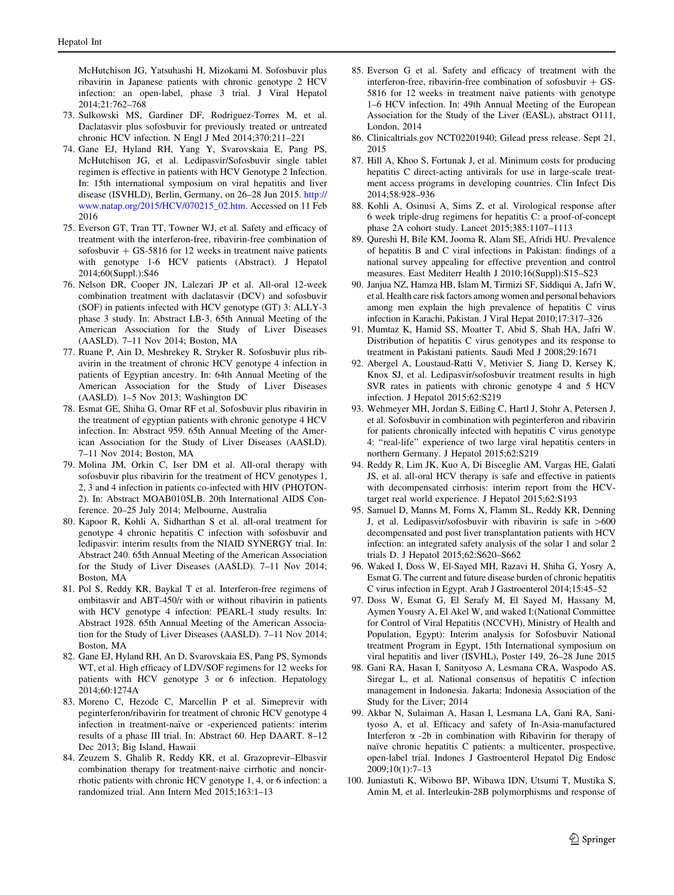<span id="page-22-0"></span>McHutchison JG, Yatsuhashi H, Mizokami M. Sofosbuvir plus ribavirin in Japanese patients with chronic genotype 2 HCV infection: an open-label, phase 3 trial. J Viral Hepatol 2014;21:762–768

- 73. Sulkowski MS, Gardiner DF, Rodriguez-Torres M, et al. Daclatasvir plus sofosbuvir for previously treated or untreated chronic HCV infection. N Engl J Med 2014;370:211–221
- 74. Gane EJ, Hyland RH, Yang Y, Svarovskaia E, Pang PS, McHutchison JG, et al. Ledipasvir/Sofosbuvir single tablet regimen is effective in patients with HCV Genotype 2 Infection. In: 15th international symposium on viral hepatitis and liver disease (ISVHLD), Berlin, Germany, on 26–28 Jun 2015. [http://](http://www.natap.org/2015/HCV/070215_02.htm) [www.natap.org/2015/HCV/070215\\_02.htm](http://www.natap.org/2015/HCV/070215_02.htm). Accessed on 11 Feb 2016
- 75. Everson GT, Tran TT, Towner WJ, et al. Safety and efficacy of treatment with the interferon-free, ribavirin-free combination of sofosbuvir  $+$  GS-5816 for 12 weeks in treatment naive patients with genotype 1-6 HCV patients (Abstract). J Hepatol 2014;60(Suppl.):S46
- 76. Nelson DR, Cooper JN, Lalezari JP et al. All-oral 12-week combination treatment with daclatasvir (DCV) and sofosbuvir (SOF) in patients infected with HCV genotype (GT) 3: ALLY-3 phase 3 study. In: Abstract LB-3. 65th Annual Meeting of the American Association for the Study of Liver Diseases (AASLD). 7–11 Nov 2014; Boston, MA
- 77. Ruane P, Ain D, Meshrekey R, Stryker R. Sofosbuvir plus ribavirin in the treatment of chronic HCV genotype 4 infection in patients of Egyptian ancestry. In: 64th Annual Meeting of the American Association for the Study of Liver Diseases (AASLD). 1–5 Nov 2013; Washington DC
- 78. Esmat GE, Shiha G, Omar RF et al. Sofosbuvir plus ribavirin in the treatment of egyptian patients with chronic genotype 4 HCV infection. In: Abstract 959. 65th Annual Meeting of the American Association for the Study of Liver Diseases (AASLD). 7–11 Nov 2014; Boston, MA
- 79. Molina JM, Orkin C, Iser DM et al. All-oral therapy with sofosbuvir plus ribavirin for the treatment of HCV genotypes 1, 2, 3 and 4 infection in patients co-infected with HIV (PHOTON-2). In: Abstract MOAB0105LB. 20th International AIDS Conference. 20–25 July 2014; Melbourne, Australia
- 80. Kapoor R, Kohli A, Sidharthan S et al. all-oral treatment for genotype 4 chronic hepatitis C infection with sofosbuvir and ledipasvir: interim results from the NIAID SYNERGY trial. In: Abstract 240. 65th Annual Meeting of the American Association for the Study of Liver Diseases (AASLD). 7–11 Nov 2014; Boston, MA
- 81. Pol S, Reddy KR, Baykal T et al. Interferon-free regimens of ombitasvir and ABT-450/r with or without ribavirin in patients with HCV genotype 4 infection: PEARL-I study results. In: Abstract 1928. 65th Annual Meeting of the American Association for the Study of Liver Diseases (AASLD). 7–11 Nov 2014; Boston, MA
- 82. Gane EJ, Hyland RH, An D, Svarovskaia ES, Pang PS, Symonds WT, et al. High efficacy of LDV/SOF regimens for 12 weeks for patients with HCV genotype 3 or 6 infection. Hepatology 2014;60:1274A
- 83. Moreno C, Hezode C, Marcellin P et al. Simeprevir with peginterferon/ribavirin for treatment of chronic HCV genotype 4 infection in treatment-naïve or -experienced patients: interim results of a phase III trial. In: Abstract 60. Hep DAART. 8–12 Dec 2013; Big Island, Hawaii
- 84. Zeuzem S, Ghalib R, Reddy KR, et al. Grazoprevir–Elbasvir combination therapy for treatment-naive cirrhotic and noncirrhotic patients with chronic HCV genotype 1, 4, or 6 infection: a randomized trial. Ann Intern Med 2015;163:1–13
- 85. Everson G et al. Safety and efficacy of treatment with the interferon-free, ribavirin-free combination of sofosbuvir  $+$  GS-5816 for 12 weeks in treatment naive patients with genotype 1–6 HCV infection. In: 49th Annual Meeting of the European Association for the Study of the Liver (EASL), abstract O111, London, 2014
- 86. Clinicaltrials.gov NCT02201940; Gilead press release. Sept 21, 2015
- 87. Hill A, Khoo S, Fortunak J, et al. Minimum costs for producing hepatitis C direct-acting antivirals for use in large-scale treatment access programs in developing countries. Clin Infect Dis 2014;58:928–936
- 88. Kohli A, Osinusi A, Sims Z, et al. Virological response after 6 week triple-drug regimens for hepatitis C: a proof-of-concept phase 2A cohort study. Lancet 2015;385:1107–1113
- 89. Qureshi H, Bile KM, Jooma R, Alam SE, Afridi HU. Prevalence of hepatitis B and C viral infections in Pakistan: findings of a national survey appealing for effective prevention and control measures. East Mediterr Health J 2010;16(Suppl):S15–S23
- 90. Janjua NZ, Hamza HB, Islam M, Tirmizi SF, Siddiqui A, Jafri W, et al. Health care risk factors among women and personal behaviors among men explain the high prevalence of hepatitis C virus infection in Karachi, Pakistan. J Viral Hepat 2010;17:317–326
- 91. Mumtaz K, Hamid SS, Moatter T, Abid S, Shah HA, Jafri W. Distribution of hepatitis C virus genotypes and its response to treatment in Pakistani patients. Saudi Med J 2008;29:1671
- 92. Abergel A, Loustaud-Ratti V, Metivier S, Jiang D, Kersey K, Knox SJ, et al. Ledipasvir/sofosbuvir treatment results in high SVR rates in patients with chronic genotype 4 and 5 HCV infection. J Hepatol 2015;62:S219
- 93. Wehmeyer MH, Jordan S, Eißing C, Hartl J, Stohr A, Petersen J, et al. Sofosbuvir in combination with peginterferon and ribavirin for patients chronically infected with hepatitis C virus genotype 4: ''real-life'' experience of two large viral hepatitis centers in northern Germany. J Hepatol 2015;62:S219
- 94. Reddy R, Lim JK, Kuo A, Di Bisceglie AM, Vargas HE, Galati JS, et al. all-oral HCV therapy is safe and effective in patients with decompensated cirrhosis: interim report from the HCVtarget real world experience. J Hepatol 2015;62:S193
- 95. Samuel D, Manns M, Forns X, Flamm SL, Reddy KR, Denning J, et al. Ledipasvir/sofosbuvir with ribavirin is safe in  $>600$ decompensated and post liver transplantation patients with HCV infection: an integrated safety analysis of the solar 1 and solar 2 trials D. J Hepatol 2015;62:S620–S662
- 96. Waked I, Doss W, El-Sayed MH, Razavi H, Shiha G, Yosry A, Esmat G. The current and future disease burden of chronic hepatitis C virus infection in Egypt. Arab J Gastroenterol 2014;15:45–52
- 97. Doss W, Esmat G, El Serafy M, El Sayed M, Hassany M, Aymen Yousry A, El Akel W, and waked I:(National Committee for Control of Viral Hepatitis (NCCVH), Ministry of Health and Population, Egypt): Interim analysis for Sofosbuvir National treatment Program in Egypt, 15th International symposium on viral hepatitis and liver (ISVHL), Poster 149, 26–28 June 2015
- 98. Gani RA, Hasan I, Sanityoso A, Lesmana CRA, Waspodo AS, Siregar L, et al. National consensus of hepatitis C infection management in Indonesia. Jakarta: Indonesia Association of the Study for the Liver; 2014
- 99. Akbar N, Sulaiman A, Hasan I, Lesmana LA, Gani RA, Sanityoso A, et al. Efficacy and safety of In-Asia-manufactured Interferon  $\alpha$  -2b in combination with Ribavirin for therapy of naïve chronic hepatitis C patients: a multicenter, prospective, open-label trial. Indones J Gastroenterol Hepatol Dig Endosc 2009;10(1):7–13
- 100. Juniastuti K, Wibowo BP, Wibawa IDN, Utsumi T, Mustika S, Amin M, et al. Interleukin-28B polymorphisms and response of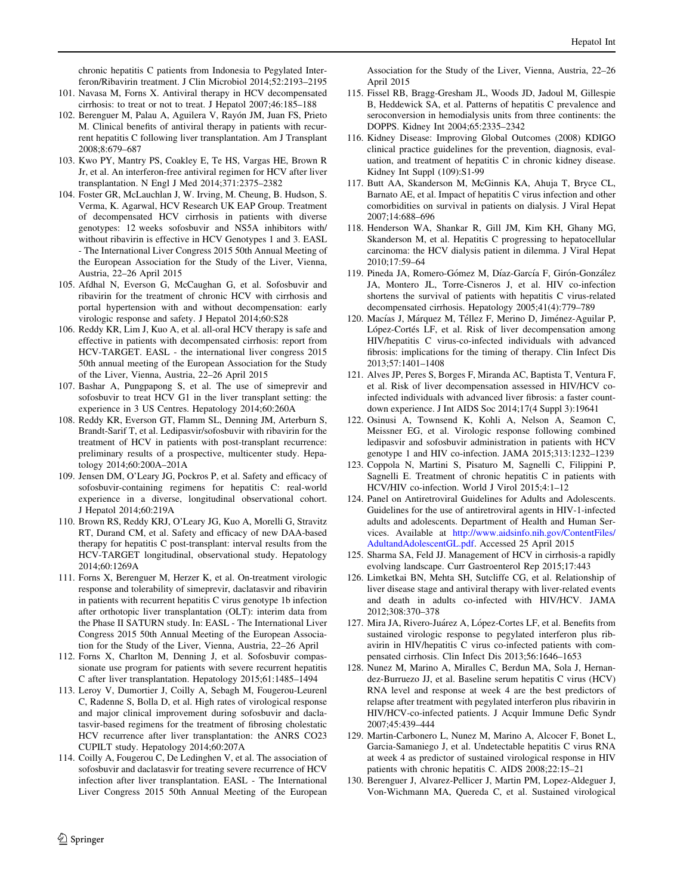<span id="page-23-0"></span>chronic hepatitis C patients from Indonesia to Pegylated Interferon/Ribavirin treatment. J Clin Microbiol 2014;52:2193–2195

- 101. Navasa M, Forns X. Antiviral therapy in HCV decompensated cirrhosis: to treat or not to treat. J Hepatol 2007;46:185–188
- 102. Berenguer M, Palau A, Aguilera V, Rayón JM, Juan FS, Prieto M. Clinical benefits of antiviral therapy in patients with recurrent hepatitis C following liver transplantation. Am J Transplant 2008;8:679–687
- 103. Kwo PY, Mantry PS, Coakley E, Te HS, Vargas HE, Brown R Jr, et al. An interferon-free antiviral regimen for HCV after liver transplantation. N Engl J Med 2014;371:2375–2382
- 104. Foster GR, McLauchlan J, W. Irving, M. Cheung, B. Hudson, S. Verma, K. Agarwal, HCV Research UK EAP Group. Treatment of decompensated HCV cirrhosis in patients with diverse genotypes: 12 weeks sofosbuvir and NS5A inhibitors with/ without ribavirin is effective in HCV Genotypes 1 and 3. EASL - The International Liver Congress 2015 50th Annual Meeting of the European Association for the Study of the Liver, Vienna, Austria, 22–26 April 2015
- 105. Afdhal N, Everson G, McCaughan G, et al. Sofosbuvir and ribavirin for the treatment of chronic HCV with cirrhosis and portal hypertension with and without decompensation: early virologic response and safety. J Hepatol 2014;60:S28
- 106. Reddy KR, Lim J, Kuo A, et al. all-oral HCV therapy is safe and effective in patients with decompensated cirrhosis: report from HCV-TARGET. EASL - the international liver congress 2015 50th annual meeting of the European Association for the Study of the Liver, Vienna, Austria, 22–26 April 2015
- 107. Bashar A, Pungpapong S, et al. The use of simeprevir and sofosbuvir to treat HCV G1 in the liver transplant setting: the experience in 3 US Centres. Hepatology 2014;60:260A
- 108. Reddy KR, Everson GT, Flamm SL, Denning JM, Arterburn S, Brandt-Sarif T, et al. Ledipasvir/sofosbuvir with ribavirin for the treatment of HCV in patients with post-transplant recurrence: preliminary results of a prospective, multicenter study. Hepatology 2014;60:200A–201A
- 109. Jensen DM, O'Leary JG, Pockros P, et al. Safety and efficacy of sofosbuvir-containing regimens for hepatitis C: real-world experience in a diverse, longitudinal observational cohort. J Hepatol 2014;60:219A
- 110. Brown RS, Reddy KRJ, O'Leary JG, Kuo A, Morelli G, Stravitz RT, Durand CM, et al. Safety and efficacy of new DAA-based therapy for hepatitis C post-transplant: interval results from the HCV-TARGET longitudinal, observational study. Hepatology 2014;60:1269A
- 111. Forns X, Berenguer M, Herzer K, et al. On-treatment virologic response and tolerability of simeprevir, daclatasvir and ribavirin in patients with recurrent hepatitis C virus genotype 1b infection after orthotopic liver transplantation (OLT): interim data from the Phase II SATURN study. In: EASL - The International Liver Congress 2015 50th Annual Meeting of the European Association for the Study of the Liver, Vienna, Austria, 22–26 April
- 112. Forns X, Charlton M, Denning J, et al. Sofosbuvir compassionate use program for patients with severe recurrent hepatitis C after liver transplantation. Hepatology 2015;61:1485–1494
- 113. Leroy V, Dumortier J, Coilly A, Sebagh M, Fougerou-Leurenl C, Radenne S, Bolla D, et al. High rates of virological response and major clinical improvement during sofosbuvir and daclatasvir-based regimens for the treatment of fibrosing cholestatic HCV recurrence after liver transplantation: the ANRS CO23 CUPILT study. Hepatology 2014;60:207A
- 114. Coilly A, Fougerou C, De Ledinghen V, et al. The association of sofosbuvir and daclatasvir for treating severe recurrence of HCV infection after liver transplantation. EASL - The International Liver Congress 2015 50th Annual Meeting of the European

Association for the Study of the Liver, Vienna, Austria, 22–26 April 2015

- 115. Fissel RB, Bragg-Gresham JL, Woods JD, Jadoul M, Gillespie B, Heddewick SA, et al. Patterns of hepatitis C prevalence and seroconversion in hemodialysis units from three continents: the DOPPS. Kidney Int 2004;65:2335–2342
- 116. Kidney Disease: Improving Global Outcomes (2008) KDIGO clinical practice guidelines for the prevention, diagnosis, evaluation, and treatment of hepatitis C in chronic kidney disease. Kidney Int Suppl (109):S1-99
- 117. Butt AA, Skanderson M, McGinnis KA, Ahuja T, Bryce CL, Barnato AE, et al. Impact of hepatitis C virus infection and other comorbidities on survival in patients on dialysis. J Viral Hepat 2007;14:688–696
- 118. Henderson WA, Shankar R, Gill JM, Kim KH, Ghany MG, Skanderson M, et al. Hepatitis C progressing to hepatocellular carcinoma: the HCV dialysis patient in dilemma. J Viral Hepat 2010;17:59–64
- 119. Pineda JA, Romero-Gómez M, Díaz-García F, Girón-González JA, Montero JL, Torre-Cisneros J, et al. HIV co-infection shortens the survival of patients with hepatitis C virus-related decompensated cirrhosis. Hepatology 2005;41(4):779–789
- 120. Macías J, Márquez M, Téllez F, Merino D, Jiménez-Aguilar P, López-Cortés LF, et al. Risk of liver decompensation among HIV/hepatitis C virus-co-infected individuals with advanced fibrosis: implications for the timing of therapy. Clin Infect Dis 2013;57:1401–1408
- 121. Alves JP, Peres S, Borges F, Miranda AC, Baptista T, Ventura F, et al. Risk of liver decompensation assessed in HIV/HCV coinfected individuals with advanced liver fibrosis: a faster countdown experience. J Int AIDS Soc 2014;17(4 Suppl 3):19641
- 122. Osinusi A, Townsend K, Kohli A, Nelson A, Seamon C, Meissner EG, et al. Virologic response following combined ledipasvir and sofosbuvir administration in patients with HCV genotype 1 and HIV co-infection. JAMA 2015;313:1232–1239
- 123. Coppola N, Martini S, Pisaturo M, Sagnelli C, Filippini P, Sagnelli E. Treatment of chronic hepatitis C in patients with HCV/HIV co-infection. World J Virol 2015;4:1–12
- 124. Panel on Antiretroviral Guidelines for Adults and Adolescents. Guidelines for the use of antiretroviral agents in HIV-1-infected adults and adolescents. Department of Health and Human Services. Available at [http://www.aidsinfo.nih.gov/ContentFiles/](http://www.aidsinfo.nih.gov/ContentFiles/AdultandAdolescentGL.pdf) [AdultandAdolescentGL.pdf](http://www.aidsinfo.nih.gov/ContentFiles/AdultandAdolescentGL.pdf). Accessed 25 April 2015
- 125. Sharma SA, Feld JJ. Management of HCV in cirrhosis-a rapidly evolving landscape. Curr Gastroenterol Rep 2015;17:443
- 126. Limketkai BN, Mehta SH, Sutcliffe CG, et al. Relationship of liver disease stage and antiviral therapy with liver-related events and death in adults co-infected with HIV/HCV. JAMA 2012;308:370–378
- 127. Mira JA, Rivero-Juárez A, López-Cortes LF, et al. Benefits from sustained virologic response to pegylated interferon plus ribavirin in HIV/hepatitis C virus co-infected patients with compensated cirrhosis. Clin Infect Dis 2013;56:1646–1653
- 128. Nunez M, Marino A, Miralles C, Berdun MA, Sola J, Hernandez-Burruezo JJ, et al. Baseline serum hepatitis C virus (HCV) RNA level and response at week 4 are the best predictors of relapse after treatment with pegylated interferon plus ribavirin in HIV/HCV-co-infected patients. J Acquir Immune Defic Syndr 2007;45:439–444
- 129. Martin-Carbonero L, Nunez M, Marino A, Alcocer F, Bonet L, Garcia-Samaniego J, et al. Undetectable hepatitis C virus RNA at week 4 as predictor of sustained virological response in HIV patients with chronic hepatitis C. AIDS 2008;22:15–21
- 130. Berenguer J, Alvarez-Pellicer J, Martin PM, Lopez-Aldeguer J, Von-Wichmann MA, Quereda C, et al. Sustained virological